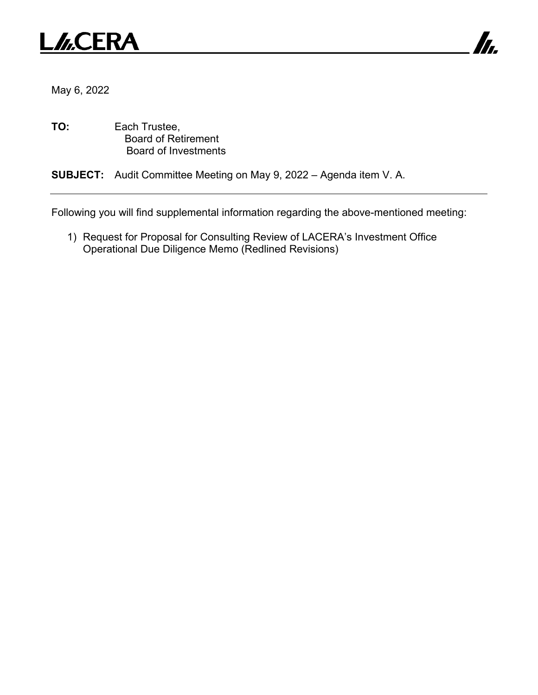



May 6, 2022

**TO:** Each Trustee, Board of Retirement Board of Investments

**SUBJECT:** Audit Committee Meeting on May 9, 2022 – Agenda item V. A.

Following you will find supplemental information regarding the above-mentioned meeting:

1) Request for Proposal for Consulting Review of LACERA's Investment Office Operational Due Diligence Memo (Redlined Revisions)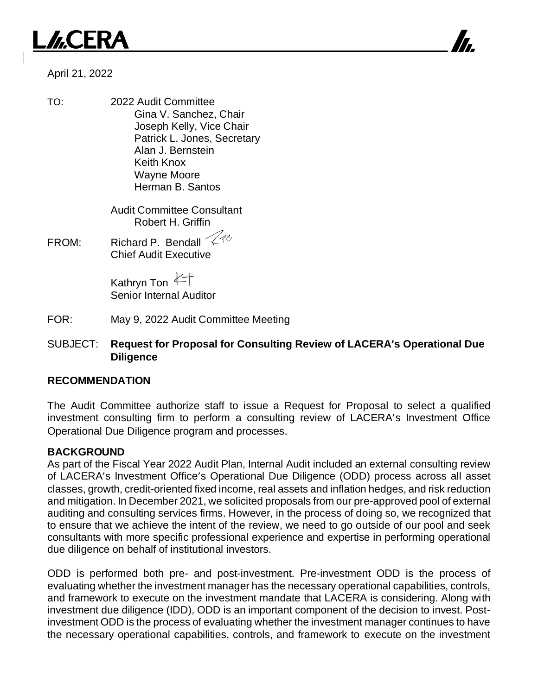## *J*.CERA



#### April 21, 2022

TO: 2022 Audit Committee Gina V. Sanchez, Chair Joseph Kelly, Vice Chair Patrick L. Jones, Secretary Alan J. Bernstein Keith Knox Wayne Moore Herman B. Santos

> Audit Committee Consultant Robert H. Griffin

FROM: Richard P. Bendall  $\ll$ Chief Audit Executive

> Kathryn Ton  $\not\leftarrow$ Senior Internal Auditor

- FOR: May 9, 2022 Audit Committee Meeting
- SUBJECT: **Request for Proposal for Consulting Review of LACERA's Operational Due Diligence**

#### **RECOMMENDATION**

The Audit Committee authorize staff to issue a Request for Proposal to select a qualified investment consulting firm to perform a consulting review of LACERA's Investment Office Operational Due Diligence program and processes.

#### **BACKGROUND**

As part of the Fiscal Year 2022 Audit Plan, Internal Audit included an external consulting review of LACERA's Investment Office's Operational Due Diligence (ODD) process across all asset classes, growth, credit-oriented fixed income, real assets and inflation hedges, and risk reduction and mitigation. In December 2021, we solicited proposals from our pre-approved pool of external auditing and consulting services firms. However, in the process of doing so, we recognized that to ensure that we achieve the intent of the review, we need to go outside of our pool and seek consultants with more specific professional experience and expertise in performing operational due diligence on behalf of institutional investors.

ODD is performed both pre- and post-investment. Pre-investment ODD is the process of evaluating whether the investment manager has the necessary operational capabilities, controls, and framework to execute on the investment mandate that LACERA is considering. Along with investment due diligence (IDD), ODD is an important component of the decision to invest. Postinvestment ODD is the process of evaluating whether the investment manager continues to have the necessary operational capabilities, controls, and framework to execute on the investment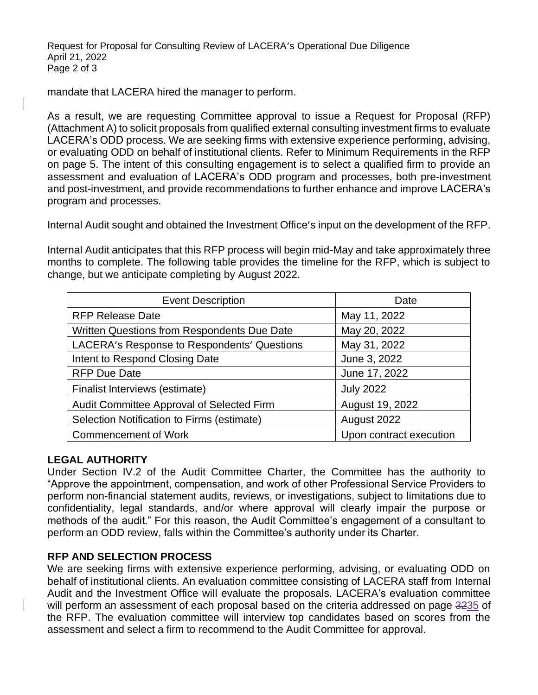Request for Proposal for Consulting Review of LACERA's Operational Due Diligence April 21, 2022 Page 2 of 3

mandate that LACERA hired the manager to perform.

As a result, we are requesting Committee approval to issue a Request for Proposal (RFP) (Attachment A) to solicit proposals from qualified external consulting investment firms to evaluate LACERA's ODD process. We are seeking firms with extensive experience performing, advising, or evaluating ODD on behalf of institutional clients. Refer to Minimum Requirements in the RFP on page 5. The intent of this consulting engagement is to select a qualified firm to provide an assessment and evaluation of LACERA's ODD program and processes, both pre-investment and post-investment, and provide recommendations to further enhance and improve LACERA's program and processes.

Internal Audit sought and obtained the Investment Office's input on the development of the RFP.

Internal Audit anticipates that this RFP process will begin mid-May and take approximately three months to complete. The following table provides the timeline for the RFP, which is subject to change, but we anticipate completing by August 2022.

| <b>Event Description</b>                    | Date                    |
|---------------------------------------------|-------------------------|
| <b>RFP Release Date</b>                     | May 11, 2022            |
| Written Questions from Respondents Due Date | May 20, 2022            |
| LACERA's Response to Respondents' Questions | May 31, 2022            |
| Intent to Respond Closing Date              | June 3, 2022            |
| <b>RFP Due Date</b>                         | June 17, 2022           |
| Finalist Interviews (estimate)              | <b>July 2022</b>        |
| Audit Committee Approval of Selected Firm   | August 19, 2022         |
| Selection Notification to Firms (estimate)  | August 2022             |
| <b>Commencement of Work</b>                 | Upon contract execution |

#### **LEGAL AUTHORITY**

Under Section IV.2 of the Audit Committee Charter, the Committee has the authority to "Approve the appointment, compensation, and work of other Professional Service Providers to perform non-financial statement audits, reviews, or investigations, subject to limitations due to confidentiality, legal standards, and/or where approval will clearly impair the purpose or methods of the audit." For this reason, the Audit Committee's engagement of a consultant to perform an ODD review, falls within the Committee's authority under its Charter.

#### **RFP AND SELECTION PROCESS**

We are seeking firms with extensive experience performing, advising, or evaluating ODD on behalf of institutional clients. An evaluation committee consisting of LACERA staff from Internal Audit and the Investment Office will evaluate the proposals. LACERA's evaluation committee will perform an assessment of each proposal based on the criteria addressed on page 3235 of the RFP. The evaluation committee will interview top candidates based on scores from the assessment and select a firm to recommend to the Audit Committee for approval.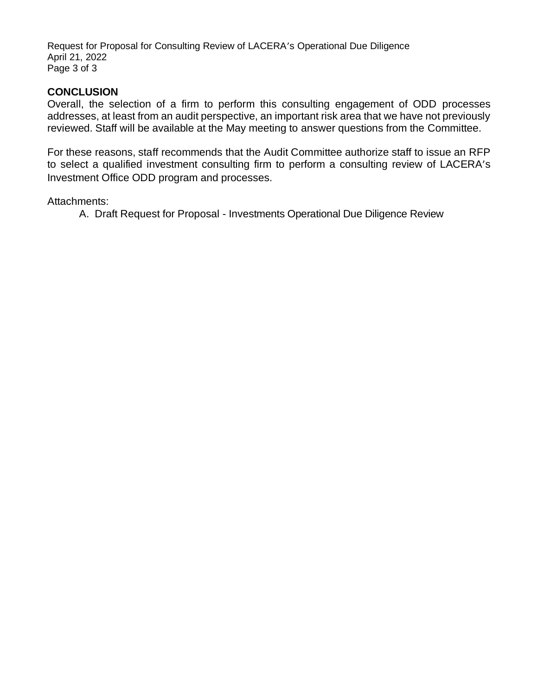Request for Proposal for Consulting Review of LACERA's Operational Due Diligence April 21, 2022 Page 3 of 3

#### **CONCLUSION**

Overall, the selection of a firm to perform this consulting engagement of ODD processes addresses, at least from an audit perspective, an important risk area that we have not previously reviewed. Staff will be available at the May meeting to answer questions from the Committee.

For these reasons, staff recommends that the Audit Committee authorize staff to issue an RFP to select a qualified investment consulting firm to perform a consulting review of LACERA's Investment Office ODD program and processes.

Attachments:

A. Draft Request for Proposal - Investments Operational Due Diligence Review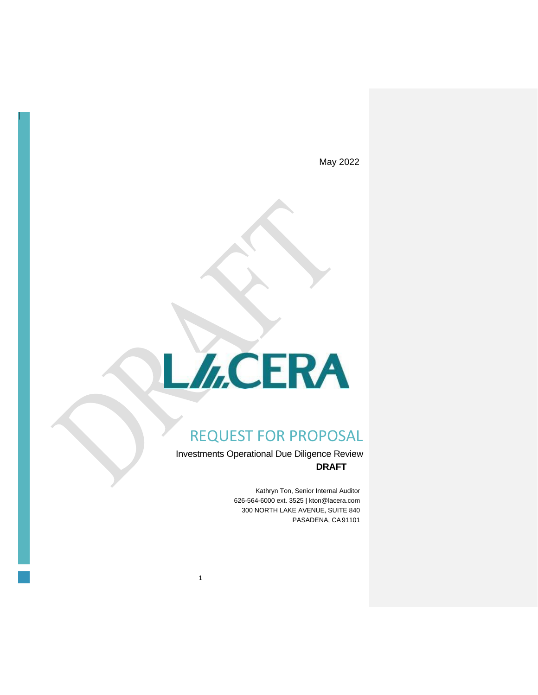May 2022

# L/<sub>G</sub>CERA

### REQUEST FOR PROPOSAL

Investments Operational Due Diligence Review **DRAFT**

1

Kathryn Ton, Senior Internal Auditor 626-564-6000 ext. 3525 | kton@lacera.com 300 NORTH LAKE AVENUE, SUITE 840 PASADENA, CA91101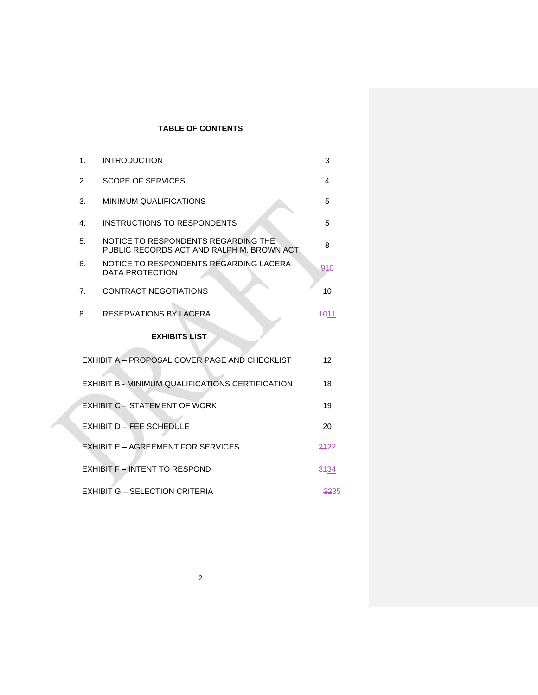#### **TABLE OF CONTENTS**

 $\mathbf{l}$ 

 $\overline{\phantom{a}}$ 

| 1. | <b>INTRODUCTION</b>                                                              | 3    |
|----|----------------------------------------------------------------------------------|------|
| 2. | <b>SCOPE OF SERVICES</b>                                                         | 4    |
| 3. | <b>MINIMUM QUALIFICATIONS</b>                                                    | 5    |
| 4. | INSTRUCTIONS TO RESPONDENTS                                                      | 5    |
| 5. | NOTICE TO RESPONDENTS REGARDING THE<br>PUBLIC RECORDS ACT AND RALPH M. BROWN ACT | 8    |
| 6. | NOTICE TO RESPONDENTS REGARDING LACERA<br>DATA PROTECTION                        | 910  |
| 7. | <b>CONTRACT NEGOTIATIONS</b>                                                     | 10   |
| 8. | RESERVATIONS BY LACERA                                                           | 4011 |
|    | <b>EXHIBITS LIST</b>                                                             |      |
|    | EXHIBIT A - PROPOSAL COVER PAGE AND CHECKLIST                                    | 12   |
|    | EXHIBIT B - MINIMUM QUALIFICATIONS CERTIFICATION                                 | 18   |
|    | <b>EXHIBIT C - STATEMENT OF WORK</b>                                             | 19   |
|    | EXHIBIT D - FEE SCHEDULE                                                         | 20   |
|    | EXHIBIT E - AGREEMENT FOR SERVICES                                               | 2422 |
|    | <b>EXHIBIT F - INTENT TO RESPOND</b>                                             | 3134 |
|    | <b>EXHIBIT G - SELECTION CRITERIA</b>                                            | 3235 |

2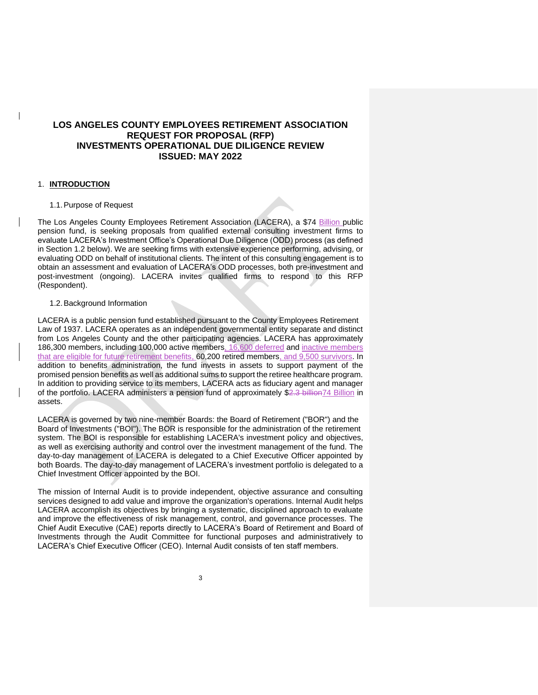#### **LOS ANGELES COUNTY EMPLOYEES RETIREMENT ASSOCIATION REQUEST FOR PROPOSAL (RFP) INVESTMENTS OPERATIONAL DUE DILIGENCE REVIEW ISSUED: MAY 2022**

#### 1. **INTRODUCTION**

#### 1.1.Purpose of Request

The Los Angeles County Employees Retirement Association (LACERA), a \$74 Billion public pension fund, is seeking proposals from qualified external consulting investment firms to evaluate LACERA's Investment Office's Operational Due Diligence (ODD) process (as defined in Section 1.2 below). We are seeking firms with extensive experience performing, advising, or evaluating ODD on behalf of institutional clients. The intent of this consulting engagement is to obtain an assessment and evaluation of LACERA's ODD processes, both pre-investment and post-investment (ongoing). LACERA invites qualified firms to respond to this RFP (Respondent).

#### 1.2.Background Information

LACERA is a public pension fund established pursuant to the County Employees Retirement Law of 1937. LACERA operates as an independent governmental entity separate and distinct from Los Angeles County and the other participating agencies. LACERA has approximately 186,300 members, including 100,000 active members, 16,600 deferred and inactive members that are eligible for future retirement benefits, 60,200 retired members, and 9,500 survivors. In addition to benefits administration, the fund invests in assets to support payment of the promised pension benefits as well as additional sums to support the retiree healthcare program. In addition to providing service to its members, LACERA acts as fiduciary agent and manager of the portfolio. LACERA administers a pension fund of approximately \$2.3 billion74 Billion in assets.

LACERA is governed by two nine-member Boards: the Board of Retirement ("BOR") and the Board of Investments ("BOI"). The BOR is responsible for the administration of the retirement system. The BOI is responsible for establishing LACERA's investment policy and objectives, as well as exercising authority and control over the investment management of the fund. The day-to-day management of LACERA is delegated to a Chief Executive Officer appointed by both Boards. The day-to-day management of LACERA's investment portfolio is delegated to a Chief Investment Officer appointed by the BOI.

The mission of Internal Audit is to provide independent, objective assurance and consulting services designed to add value and improve the organization's operations. Internal Audit helps LACERA accomplish its objectives by bringing a systematic, disciplined approach to evaluate and improve the effectiveness of risk management, control, and governance processes. The Chief Audit Executive (CAE) reports directly to LACERA's Board of Retirement and Board of Investments through the Audit Committee for functional purposes and administratively to LACERA's Chief Executive Officer (CEO). Internal Audit consists of ten staff members.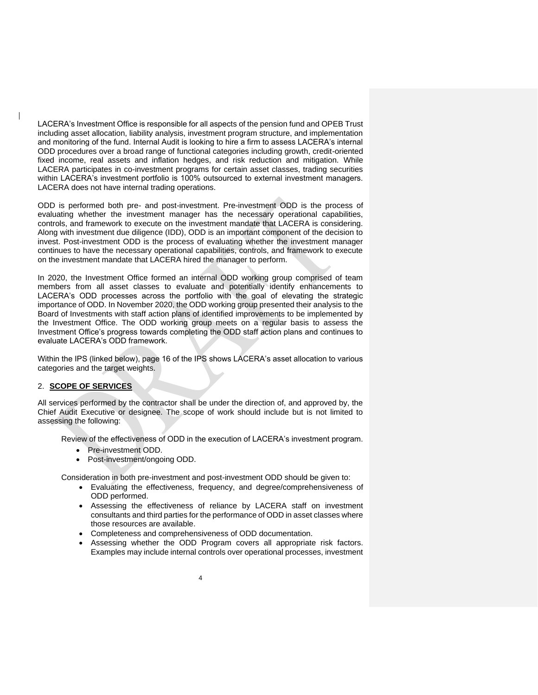LACERA's Investment Office is responsible for all aspects of the pension fund and OPEB Trust including asset allocation, liability analysis, investment program structure, and implementation and monitoring of the fund. Internal Audit is looking to hire a firm to assess LACERA's internal ODD procedures over a broad range of functional categories including growth, credit-oriented fixed income, real assets and inflation hedges, and risk reduction and mitigation. While LACERA participates in co-investment programs for certain asset classes, trading securities within LACERA's investment portfolio is 100% outsourced to external investment managers. LACERA does not have internal trading operations.

ODD is performed both pre- and post-investment. Pre-investment ODD is the process of evaluating whether the investment manager has the necessary operational capabilities, controls, and framework to execute on the investment mandate that LACERA is considering. Along with investment due diligence (IDD), ODD is an important component of the decision to invest. Post-investment ODD is the process of evaluating whether the investment manager continues to have the necessary operational capabilities, controls, and framework to execute on the investment mandate that LACERA hired the manager to perform.

In 2020, the Investment Office formed an internal ODD working group comprised of team members from all asset classes to evaluate and potentially identify enhancements to LACERA's ODD processes across the portfolio with the goal of elevating the strategic importance of ODD. In November 2020, the ODD working group presented their analysis to the Board of Investments with staff action plans of identified improvements to be implemented by the Investment Office. The ODD working group meets on a regular basis to assess the Investment Office's progress towards completing the ODD staff action plans and continues to evaluate LACERA's ODD framework.

Within the IPS (linked below), page 16 of the IPS shows LACERA's asset allocation to various categories and the target weights.

#### 2. **SCOPE OF SERVICES**

All services performed by the contractor shall be under the direction of, and approved by, the Chief Audit Executive or designee. The scope of work should include but is not limited to assessing the following:

Review of the effectiveness of ODD in the execution of LACERA's investment program.

- Pre-investment ODD.
- Post-investment/ongoing ODD.

Consideration in both pre-investment and post-investment ODD should be given to:

- Evaluating the effectiveness, frequency, and degree/comprehensiveness of ODD performed.
- Assessing the effectiveness of reliance by LACERA staff on investment consultants and third parties for the performance of ODD in asset classes where those resources are available.
- Completeness and comprehensiveness of ODD documentation.
- Assessing whether the ODD Program covers all appropriate risk factors. Examples may include internal controls over operational processes, investment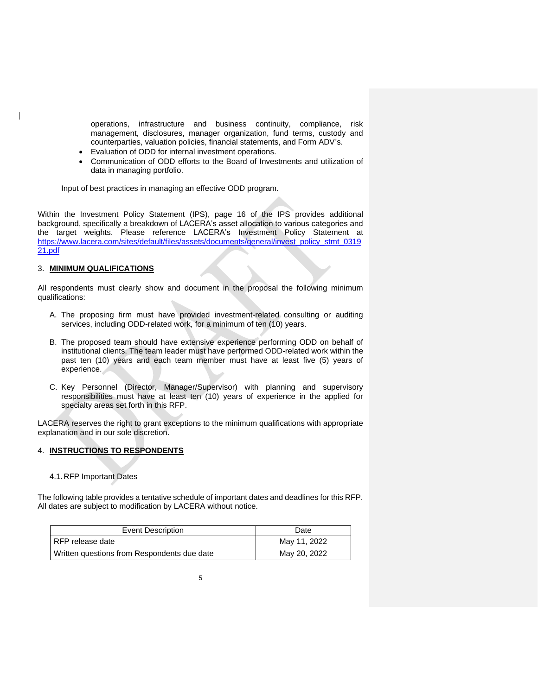operations, infrastructure and business continuity, compliance, risk management, disclosures, manager organization, fund terms, custody and counterparties, valuation policies, financial statements, and Form ADV's.

- Evaluation of ODD for internal investment operations.
- Communication of ODD efforts to the Board of Investments and utilization of data in managing portfolio.

Input of best practices in managing an effective ODD program.

Within the Investment Policy Statement (IPS), page 16 of the IPS provides additional background, specifically a breakdown of LACERA's asset allocation to various categories and the target weights. Please reference LACERA's Investment Policy Statement at [https://www.lacera.com/sites/default/files/assets/documents/general/invest\\_policy\\_stmt\\_0319](https://www.lacera.com/sites/default/files/assets/documents/general/invest_policy_stmt_031921.pdf) [21.pdf](https://www.lacera.com/sites/default/files/assets/documents/general/invest_policy_stmt_031921.pdf)

#### 3. **MINIMUM QUALIFICATIONS**

All respondents must clearly show and document in the proposal the following minimum qualifications:

- A. The proposing firm must have provided investment-related consulting or auditing services, including ODD-related work, for a minimum of ten (10) years.
- B. The proposed team should have extensive experience performing ODD on behalf of institutional clients. The team leader must have performed ODD-related work within the past ten (10) years and each team member must have at least five (5) years of experience.
- C. Key Personnel (Director, Manager/Supervisor) with planning and supervisory responsibilities must have at least ten (10) years of experience in the applied for specialty areas set forth in this RFP.

LACERA reserves the right to grant exceptions to the minimum qualifications with appropriate explanation and in our sole discretion.

#### 4. **INSTRUCTIONS TO RESPONDENTS**

#### 4.1.RFP Important Dates

The following table provides a tentative schedule of important dates and deadlines for this RFP. All dates are subject to modification by LACERA without notice.

| Event Description                           | Date         |
|---------------------------------------------|--------------|
| RFP release date                            | May 11, 2022 |
| Written questions from Respondents due date | May 20, 2022 |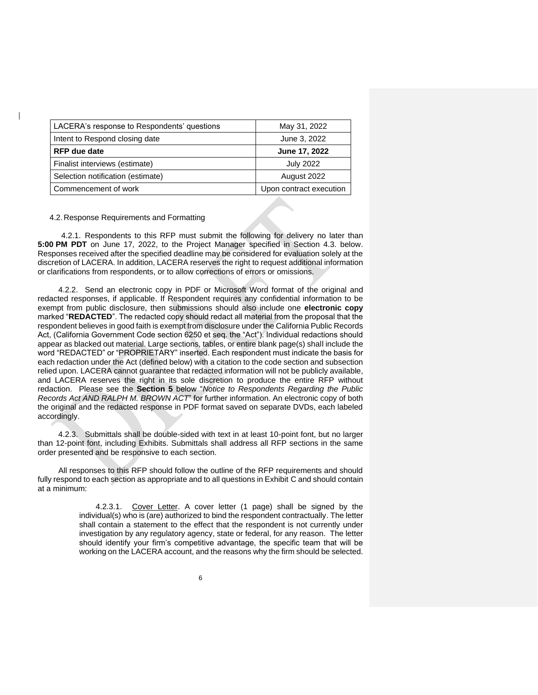| LACERA's response to Respondents' questions | May 31, 2022            |
|---------------------------------------------|-------------------------|
| Intent to Respond closing date              | June 3, 2022            |
| <b>RFP</b> due date                         | June 17, 2022           |
| Finalist interviews (estimate)              | <b>July 2022</b>        |
| Selection notification (estimate)           | August 2022             |
| Commencement of work                        | Upon contract execution |

#### 4.2.Response Requirements and Formatting

4.2.1. Respondents to this RFP must submit the following for delivery no later than **5:00 PM PDT** on June 17, 2022, to the Project Manager specified in Section 4.3. below. Responses received after the specified deadline may be considered for evaluation solely at the discretion of LACERA. In addition, LACERA reserves the right to request additional information or clarifications from respondents, or to allow corrections of errors or omissions.

4.2.2. Send an electronic copy in PDF or Microsoft Word format of the original and redacted responses, if applicable. If Respondent requires any confidential information to be exempt from public disclosure, then submissions should also include one **electronic copy** marked "**REDACTED**". The redacted copy should redact all material from the proposal that the respondent believes in good faith is exempt from disclosure under the California Public Records Act, (California Government Code section 6250 et seq. the "Act"). Individual redactions should appear as blacked out material. Large sections, tables, or entire blank page(s) shall include the word "REDACTED" or "PROPRIETARY" inserted. Each respondent must indicate the basis for each redaction under the Act (defined below) with a citation to the code section and subsection relied upon. LACERA cannot guarantee that redacted information will not be publicly available, and LACERA reserves the right in its sole discretion to produce the entire RFP without redaction. Please see the **Section 5** below "*Notice to Respondents Regarding the Public Records Act AND RALPH M. BROWN ACT*" for further information. An electronic copy of both the original and the redacted response in PDF format saved on separate DVDs, each labeled accordingly.

4.2.3. Submittals shall be double-sided with text in at least 10-point font, but no larger than 12-point font, including Exhibits. Submittals shall address all RFP sections in the same order presented and be responsive to each section.

All responses to this RFP should follow the outline of the RFP requirements and should fully respond to each section as appropriate and to all questions in Exhibit C and should contain at a minimum:

> 4.2.3.1. Cover Letter. A cover letter (1 page) shall be signed by the individual(s) who is (are) authorized to bind the respondent contractually. The letter shall contain a statement to the effect that the respondent is not currently under investigation by any regulatory agency, state or federal, for any reason. The letter should identify your firm's competitive advantage, the specific team that will be working on the LACERA account, and the reasons why the firm should be selected.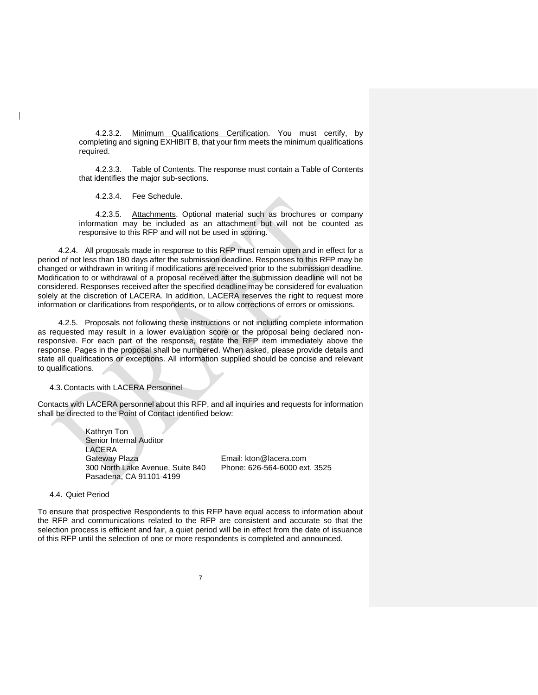4.2.3.2. Minimum Qualifications Certification. You must certify, by completing and signing EXHIBIT B, that your firm meets the minimum qualifications required.

4.2.3.3. Table of Contents. The response must contain a Table of Contents that identifies the major sub-sections.

4.2.3.4. Fee Schedule.

4.2.3.5. Attachments. Optional material such as brochures or company information may be included as an attachment but will not be counted as responsive to this RFP and will not be used in scoring.

4.2.4. All proposals made in response to this RFP must remain open and in effect for a period of not less than 180 days after the submission deadline. Responses to this RFP may be changed or withdrawn in writing if modifications are received prior to the submission deadline. Modification to or withdrawal of a proposal received after the submission deadline will not be considered. Responses received after the specified deadline may be considered for evaluation solely at the discretion of LACERA. In addition, LACERA reserves the right to request more information or clarifications from respondents, or to allow corrections of errors or omissions.

4.2.5. Proposals not following these instructions or not including complete information as requested may result in a lower evaluation score or the proposal being declared nonresponsive. For each part of the response, restate the RFP item immediately above the response. Pages in the proposal shall be numbered. When asked, please provide details and state all qualifications or exceptions. All information supplied should be concise and relevant to qualifications.

4.3.Contacts with LACERA Personnel

Contacts with LACERA personnel about this RFP, and all inquiries and requests for information shall be directed to the Point of Contact identified below:

> Kathryn Ton Senior Internal Auditor LACERA Gateway Plaza 300 North Lake Avenue, Suite 840 Pasadena, CA 91101-4199

Email: kton@lacera.com Phone: 626-564-6000 ext. 3525

4.4. Quiet Period

To ensure that prospective Respondents to this RFP have equal access to information about the RFP and communications related to the RFP are consistent and accurate so that the selection process is efficient and fair, a quiet period will be in effect from the date of issuance of this RFP until the selection of one or more respondents is completed and announced.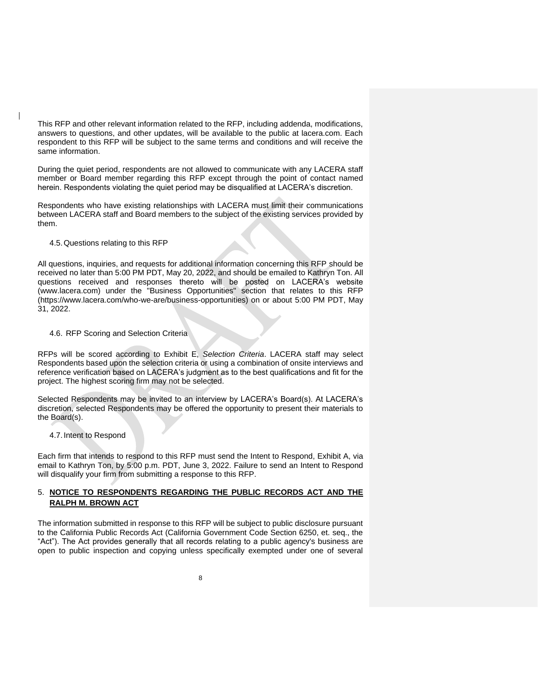This RFP and other relevant information related to the RFP, including addenda, modifications, answers to questions, and other updates, will be available to the public at lacera.com. Each respondent to this RFP will be subject to the same terms and conditions and will receive the same information.

During the quiet period, respondents are not allowed to communicate with any LACERA staff member or Board member regarding this RFP except through the point of contact named herein. Respondents violating the quiet period may be disqualified at LACERA's discretion.

Respondents who have existing relationships with LACERA must limit their communications between LACERA staff and Board members to the subject of the existing services provided by them.

#### 4.5.Questions relating to this RFP

All questions, inquiries, and requests for additional information concerning this RFP should be received no later than 5:00 PM PDT, May 20, 2022, and should be emailed to Kathryn Ton. All questions received and responses thereto will be posted on LACERA's website (www.lacera.com) under the "Business Opportunities" section that relates to this RFP (https://www.lacera.com/who-we-are/business-opportunities) on or about 5:00 PM PDT, May 31, 2022.

#### 4.6. RFP Scoring and Selection Criteria

RFPs will be scored according to Exhibit E, *Selection Criteria*. LACERA staff may select Respondents based upon the selection criteria or using a combination of onsite interviews and reference verification based on LACERA's judgment as to the best qualifications and fit for the project. The highest scoring firm may not be selected.

Selected Respondents may be invited to an interview by LACERA's Board(s). At LACERA's discretion, selected Respondents may be offered the opportunity to present their materials to the Board(s).

#### 4.7.Intent to Respond

Each firm that intends to respond to this RFP must send the Intent to Respond, Exhibit A, via email to Kathryn Ton, by 5:00 p.m. PDT, June 3, 2022. Failure to send an Intent to Respond will disqualify your firm from submitting a response to this RFP.

#### 5. **NOTICE TO RESPONDENTS REGARDING THE PUBLIC RECORDS ACT AND THE RALPH M. BROWN ACT**

The information submitted in response to this RFP will be subject to public disclosure pursuant to the California Public Records Act (California Government Code Section 6250, et. seq., the "Act"). The Act provides generally that all records relating to a public agency's business are open to public inspection and copying unless specifically exempted under one of several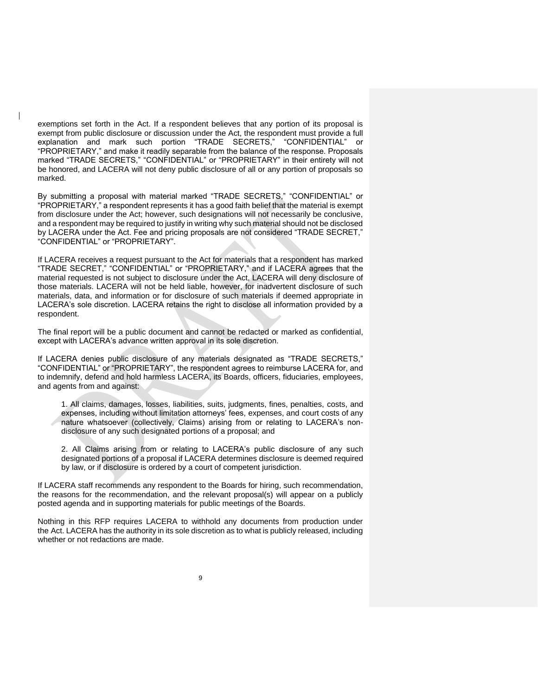exemptions set forth in the Act. If a respondent believes that any portion of its proposal is exempt from public disclosure or discussion under the Act, the respondent must provide a full explanation and mark such portion "TRADE SECRETS," "CONFIDENTIAL" or "PROPRIETARY," and make it readily separable from the balance of the response. Proposals marked "TRADE SECRETS," "CONFIDENTIAL" or "PROPRIETARY" in their entirety will not be honored, and LACERA will not deny public disclosure of all or any portion of proposals so marked.

By submitting a proposal with material marked "TRADE SECRETS," "CONFIDENTIAL" or "PROPRIETARY," a respondent represents it has a good faith belief that the material is exempt from disclosure under the Act; however, such designations will not necessarily be conclusive, and a respondent may be required to justify in writing why such material should not be disclosed by LACERA under the Act. Fee and pricing proposals are not considered "TRADE SECRET," "CONFIDENTIAL" or "PROPRIETARY".

If LACERA receives a request pursuant to the Act for materials that a respondent has marked "TRADE SECRET," "CONFIDENTIAL" or "PROPRIETARY," and if LACERA agrees that the material requested is not subject to disclosure under the Act, LACERA will deny disclosure of those materials. LACERA will not be held liable, however, for inadvertent disclosure of such materials, data, and information or for disclosure of such materials if deemed appropriate in LACERA's sole discretion. LACERA retains the right to disclose all information provided by a respondent.

The final report will be a public document and cannot be redacted or marked as confidential, except with LACERA's advance written approval in its sole discretion.

If LACERA denies public disclosure of any materials designated as "TRADE SECRETS," "CONFIDENTIAL" or "PROPRIETARY", the respondent agrees to reimburse LACERA for, and to indemnify, defend and hold harmless LACERA, its Boards, officers, fiduciaries, employees, and agents from and against:

1. All claims, damages, losses, liabilities, suits, judgments, fines, penalties, costs, and expenses, including without limitation attorneys' fees, expenses, and court costs of any nature whatsoever (collectively, Claims) arising from or relating to LACERA's nondisclosure of any such designated portions of a proposal; and

2. All Claims arising from or relating to LACERA's public disclosure of any such designated portions of a proposal if LACERA determines disclosure is deemed required by law, or if disclosure is ordered by a court of competent jurisdiction.

If LACERA staff recommends any respondent to the Boards for hiring, such recommendation, the reasons for the recommendation, and the relevant proposal(s) will appear on a publicly posted agenda and in supporting materials for public meetings of the Boards.

Nothing in this RFP requires LACERA to withhold any documents from production under the Act. LACERA has the authority in its sole discretion as to what is publicly released, including whether or not redactions are made.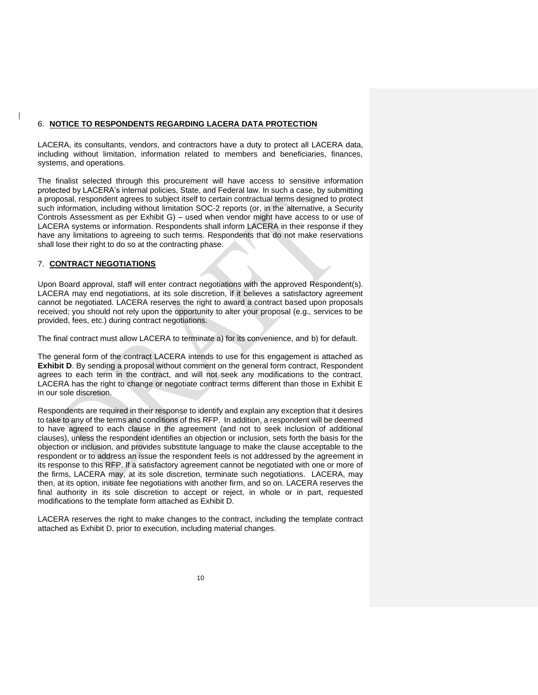#### 6. **NOTICE TO RESPONDENTS REGARDING LACERA DATA PROTECTION**

LACERA, its consultants, vendors, and contractors have a duty to protect all LACERA data, including without limitation, information related to members and beneficiaries, finances, systems, and operations.

The finalist selected through this procurement will have access to sensitive information protected by LACERA's internal policies, State, and Federal law. In such a case, by submitting a proposal, respondent agrees to subject itself to certain contractual terms designed to protect such information, including without limitation SOC-2 reports (or, in the alternative, a Security Controls Assessment as per Exhibit G) – used when vendor might have access to or use of LACERA systems or information. Respondents shall inform LACERA in their response if they have any limitations to agreeing to such terms. Respondents that do not make reservations shall lose their right to do so at the contracting phase.

#### 7. **CONTRACT NEGOTIATIONS**

Upon Board approval, staff will enter contract negotiations with the approved Respondent(s). LACERA may end negotiations, at its sole discretion, if it believes a satisfactory agreement cannot be negotiated. LACERA reserves the right to award a contract based upon proposals received; you should not rely upon the opportunity to alter your proposal (e.g., services to be provided, fees, etc.) during contract negotiations.

The final contract must allow LACERA to terminate a) for its convenience, and b) for default.

The general form of the contract LACERA intends to use for this engagement is attached as **Exhibit D.** By sending a proposal without comment on the general form contract, Respondent agrees to each term in the contract, and will not seek any modifications to the contract. LACERA has the right to change or negotiate contract terms different than those in Exhibit E in our sole discretion.

Respondents are required in their response to identify and explain any exception that it desires to take to any of the terms and conditions of this RFP. In addition, a respondent will be deemed to have agreed to each clause in the agreement (and not to seek inclusion of additional clauses), unless the respondent identifies an objection or inclusion, sets forth the basis for the objection or inclusion, and provides substitute language to make the clause acceptable to the respondent or to address an issue the respondent feels is not addressed by the agreement in its response to this RFP. If a satisfactory agreement cannot be negotiated with one or more of the firms, LACERA may, at its sole discretion, terminate such negotiations. LACERA, may then, at its option, initiate fee negotiations with another firm, and so on. LACERA reserves the final authority in its sole discretion to accept or reject, in whole or in part, requested modifications to the template form attached as Exhibit D.

LACERA reserves the right to make changes to the contract, including the template contract attached as Exhibit D, prior to execution, including material changes.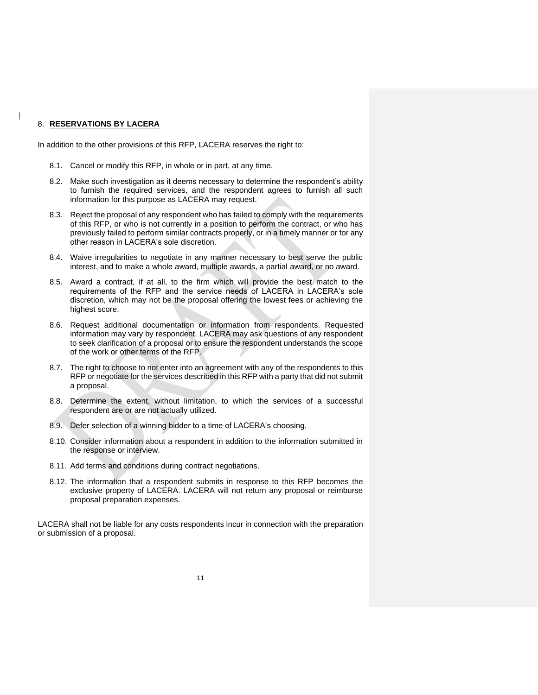#### 8. **RESERVATIONS BY LACERA**

In addition to the other provisions of this RFP, LACERA reserves the right to:

- 8.1. Cancel or modify this RFP, in whole or in part, at any time.
- 8.2. Make such investigation as it deems necessary to determine the respondent's ability to furnish the required services, and the respondent agrees to furnish all such information for this purpose as LACERA may request.
- 8.3. Reject the proposal of any respondent who has failed to comply with the requirements of this RFP, or who is not currently in a position to perform the contract, or who has previously failed to perform similar contracts properly, or in a timely manner or for any other reason in LACERA's sole discretion.
- 8.4. Waive irregularities to negotiate in any manner necessary to best serve the public interest, and to make a whole award, multiple awards, a partial award, or no award.
- 8.5. Award a contract, if at all, to the firm which will provide the best match to the requirements of the RFP and the service needs of LACERA in LACERA's sole discretion, which may not be the proposal offering the lowest fees or achieving the highest score.
- 8.6. Request additional documentation or information from respondents. Requested information may vary by respondent. LACERA may ask questions of any respondent to seek clarification of a proposal or to ensure the respondent understands the scope of the work or other terms of the RFP.
- 8.7. The right to choose to not enter into an agreement with any of the respondents to this RFP or negotiate for the services described in this RFP with a party that did not submit a proposal.
- 8.8. Determine the extent, without limitation, to which the services of a successful respondent are or are not actually utilized.
- 8.9. Defer selection of a winning bidder to a time of LACERA's choosing.
- 8.10. Consider information about a respondent in addition to the information submitted in the response or interview.
- 8.11. Add terms and conditions during contract negotiations.
- 8.12. The information that a respondent submits in response to this RFP becomes the exclusive property of LACERA. LACERA will not return any proposal or reimburse proposal preparation expenses.

LACERA shall not be liable for any costs respondents incur in connection with the preparation or submission of a proposal.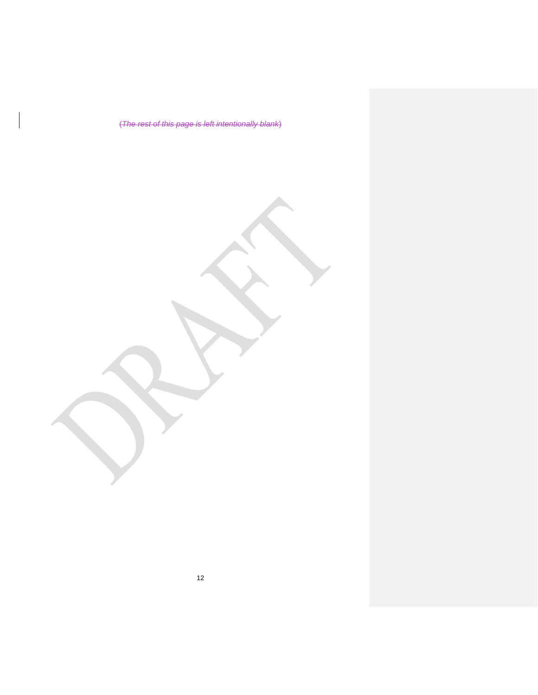(*The rest of this page is left intentionally blank*)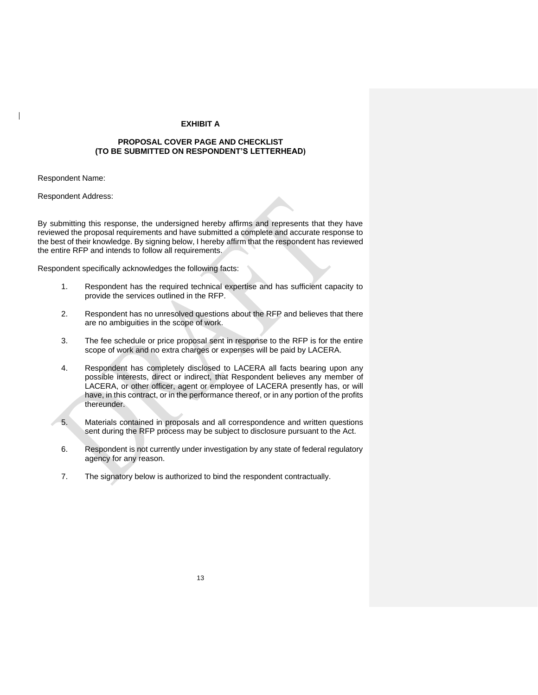#### **EXHIBIT A**

#### **PROPOSAL COVER PAGE AND CHECKLIST (TO BE SUBMITTED ON RESPONDENT'S LETTERHEAD)**

Respondent Name:

Respondent Address:

By submitting this response, the undersigned hereby affirms and represents that they have reviewed the proposal requirements and have submitted a complete and accurate response to the best of their knowledge. By signing below, I hereby affirm that the respondent has reviewed the entire RFP and intends to follow all requirements.

Respondent specifically acknowledges the following facts:

- 1. Respondent has the required technical expertise and has sufficient capacity to provide the services outlined in the RFP.
- 2. Respondent has no unresolved questions about the RFP and believes that there are no ambiguities in the scope of work.
- 3. The fee schedule or price proposal sent in response to the RFP is for the entire scope of work and no extra charges or expenses will be paid by LACERA.
- 4. Respondent has completely disclosed to LACERA all facts bearing upon any possible interests, direct or indirect, that Respondent believes any member of LACERA, or other officer, agent or employee of LACERA presently has, or will have, in this contract, or in the performance thereof, or in any portion of the profits thereunder.
- 5. Materials contained in proposals and all correspondence and written questions sent during the RFP process may be subject to disclosure pursuant to the Act.
- 6. Respondent is not currently under investigation by any state of federal regulatory agency for any reason.
- 7. The signatory below is authorized to bind the respondent contractually.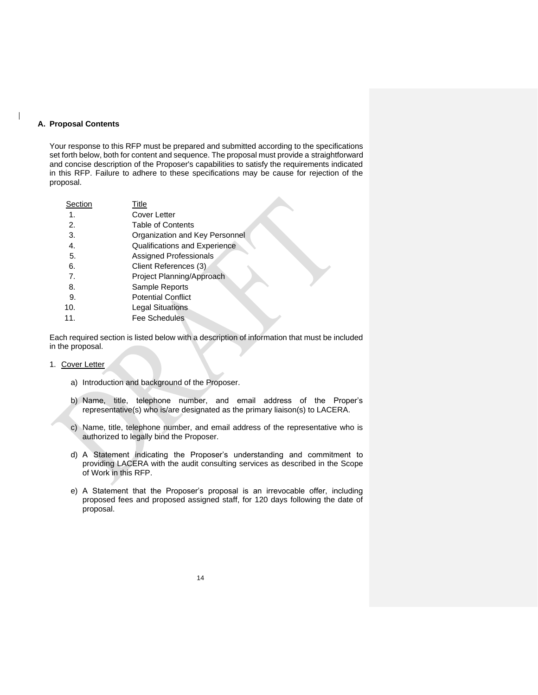#### **A. Proposal Contents**

Your response to this RFP must be prepared and submitted according to the specifications set forth below, both for content and sequence. The proposal must provide a straightforward and concise description of the Proposer's capabilities to satisfy the requirements indicated in this RFP. Failure to adhere to these specifications may be cause for rejection of the proposal.

| Title                          |
|--------------------------------|
| Cover Letter                   |
| <b>Table of Contents</b>       |
| Organization and Key Personnel |
| Qualifications and Experience  |
| Assigned Professionals         |
| Client References (3)          |
| Project Planning/Approach      |
| Sample Reports                 |
| <b>Potential Conflict</b>      |
| <b>Legal Situations</b>        |
| Fee Schedules                  |
|                                |

Each required section is listed below with a description of information that must be included in the proposal.

- 1. Cover Letter
	- a) Introduction and background of the Proposer.
	- b) Name, title, telephone number, and email address of the Proper's representative(s) who is/are designated as the primary liaison(s) to LACERA.
	- c) Name, title, telephone number, and email address of the representative who is authorized to legally bind the Proposer.
	- d) A Statement indicating the Proposer's understanding and commitment to providing LACERA with the audit consulting services as described in the Scope of Work in this RFP.
	- e) A Statement that the Proposer's proposal is an irrevocable offer, including proposed fees and proposed assigned staff, for 120 days following the date of proposal.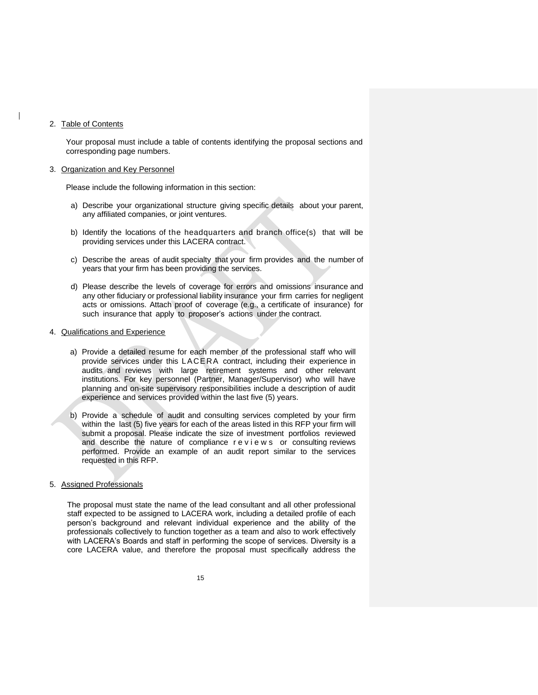#### 2. Table of Contents

Your proposal must include a table of contents identifying the proposal sections and corresponding page numbers.

#### 3. Organization and Key Personnel

Please include the following information in this section:

- a) Describe your organizational structure giving specific details about your parent, any affiliated companies, or joint ventures.
- b) Identify the locations of the headquarters and branch office(s) that will be providing services under this LACERA contract.
- c) Describe the areas of audit specialty that your firm provides and the number of years that your firm has been providing the services.
- d) Please describe the levels of coverage for errors and omissions insurance and any other fiduciary or professional liability insurance your firm carries for negligent acts or omissions. Attach proof of coverage (e.g., a certificate of insurance) for such insurance that apply to proposer's actions under the contract.

#### 4. Qualifications and Experience

- a) Provide a detailed resume for each member of the professional staff who will provide services under this LACERA contract, including their experience in audits and reviews with large retirement systems and other relevant institutions. For key personnel (Partner, Manager/Supervisor) who will have planning and on-site supervisory responsibilities include a description of audit experience and services provided within the last five (5) years.
- b) Provide a schedule of audit and consulting services completed by your firm within the last (5) five years for each of the areas listed in this RFP your firm will submit a proposal. Please indicate the size of investment portfolios reviewed and describe the nature of compliance reviews or consulting reviews performed. Provide an example of an audit report similar to the services requested in this RFP.

#### 5. Assigned Professionals

The proposal must state the name of the lead consultant and all other professional staff expected to be assigned to LACERA work, including a detailed profile of each person's background and relevant individual experience and the ability of the professionals collectively to function together as a team and also to work effectively with LACERA's Boards and staff in performing the scope of services. Diversity is a core LACERA value, and therefore the proposal must specifically address the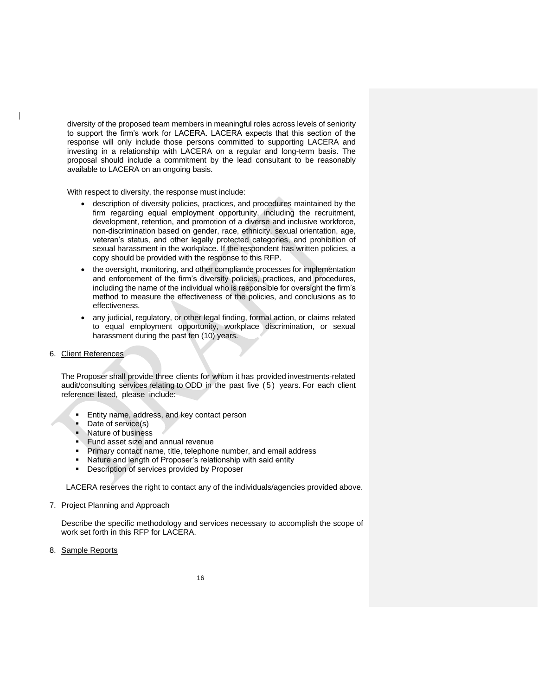diversity of the proposed team members in meaningful roles across levels of seniority to support the firm's work for LACERA. LACERA expects that this section of the response will only include those persons committed to supporting LACERA and investing in a relationship with LACERA on a regular and long-term basis. The proposal should include a commitment by the lead consultant to be reasonably available to LACERA on an ongoing basis.

With respect to diversity, the response must include:

- description of diversity policies, practices, and procedures maintained by the firm regarding equal employment opportunity, including the recruitment, development, retention, and promotion of a diverse and inclusive workforce, non-discrimination based on gender, race, ethnicity, sexual orientation, age, veteran's status, and other legally protected categories, and prohibition of sexual harassment in the workplace. If the respondent has written policies, a copy should be provided with the response to this RFP.
- the oversight, monitoring, and other compliance processes for implementation and enforcement of the firm's diversity policies, practices, and procedures, including the name of the individual who is responsible for oversight the firm's method to measure the effectiveness of the policies, and conclusions as to effectiveness.
- any judicial, regulatory, or other legal finding, formal action, or claims related to equal employment opportunity, workplace discrimination, or sexual harassment during the past ten (10) years.
- 6. Client References

The Proposer shall provide three clients for whom it has provided investments-related audit/consulting services relating to ODD in the past five (5) years. For each client reference listed, please include:

- Entity name, address, and key contact person
- Date of service(s)<br>■ Nature of business
- Nature of business
- **Eund asset size and annual revenue**
- Primary contact name, title, telephone number, and email address
- Nature and length of Proposer's relationship with said entity
- Description of services provided by Proposer

LACERA reserves the right to contact any of the individuals/agencies provided above.

7. Project Planning and Approach

Describe the specific methodology and services necessary to accomplish the scope of work set forth in this RFP for LACERA.

8. Sample Reports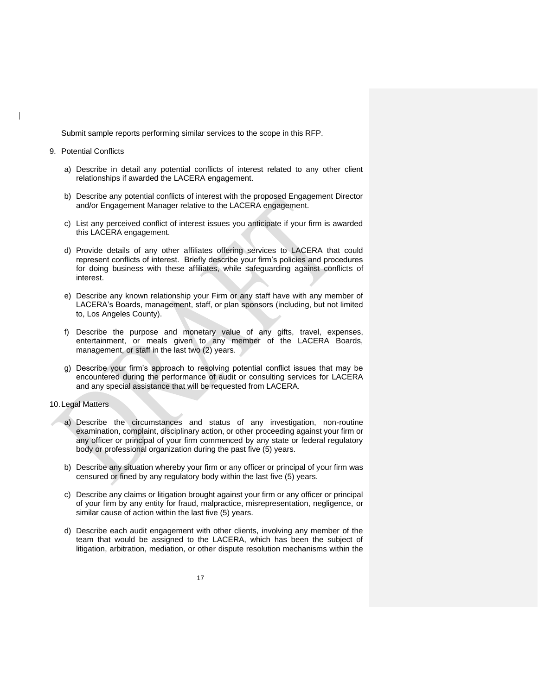Submit sample reports performing similar services to the scope in this RFP.

#### 9. Potential Conflicts

- a) Describe in detail any potential conflicts of interest related to any other client relationships if awarded the LACERA engagement.
- b) Describe any potential conflicts of interest with the proposed Engagement Director and/or Engagement Manager relative to the LACERA engagement.
- c) List any perceived conflict of interest issues you anticipate if your firm is awarded this LACERA engagement.
- d) Provide details of any other affiliates offering services to LACERA that could represent conflicts of interest. Briefly describe your firm's policies and procedures for doing business with these affiliates, while safeguarding against conflicts of interest.
- e) Describe any known relationship your Firm or any staff have with any member of LACERA's Boards, management, staff, or plan sponsors (including, but not limited to, Los Angeles County).
- f) Describe the purpose and monetary value of any gifts, travel, expenses, entertainment, or meals given to any member of the LACERA Boards, management, or staff in the last two (2) years.
- g) Describe your firm's approach to resolving potential conflict issues that may be encountered during the performance of audit or consulting services for LACERA and any special assistance that will be requested from LACERA.

#### 10. Legal Matters

- a) Describe the circumstances and status of any investigation, non-routine examination, complaint, disciplinary action, or other proceeding against your firm or any officer or principal of your firm commenced by any state or federal regulatory body or professional organization during the past five (5) years.
- b) Describe any situation whereby your firm or any officer or principal of your firm was censured or fined by any regulatory body within the last five (5) years.
- c) Describe any claims or litigation brought against your firm or any officer or principal of your firm by any entity for fraud, malpractice, misrepresentation, negligence, or similar cause of action within the last five (5) years.
- d) Describe each audit engagement with other clients, involving any member of the team that would be assigned to the LACERA, which has been the subject of litigation, arbitration, mediation, or other dispute resolution mechanisms within the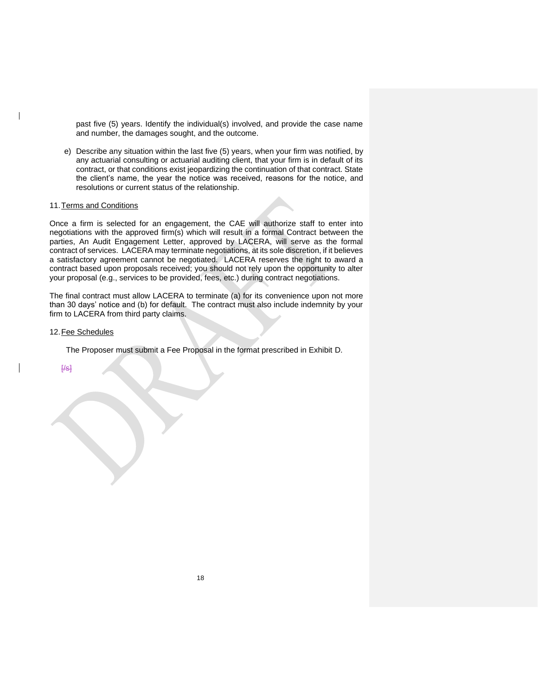past five (5) years. Identify the individual(s) involved, and provide the case name and number, the damages sought, and the outcome.

e) Describe any situation within the last five (5) years, when your firm was notified, by any actuarial consulting or actuarial auditing client, that your firm is in default of its contract, or that conditions exist jeopardizing the continuation of that contract. State the client's name, the year the notice was received, reasons for the notice, and resolutions or current status of the relationship.

#### 11.Terms and Conditions

Once a firm is selected for an engagement, the CAE will authorize staff to enter into negotiations with the approved firm(s) which will result in a formal Contract between the parties, An Audit Engagement Letter, approved by LACERA, will serve as the formal contract of services. LACERA may terminate negotiations, at its sole discretion, if it believes a satisfactory agreement cannot be negotiated. LACERA reserves the right to award a contract based upon proposals received; you should not rely upon the opportunity to alter your proposal (e.g., services to be provided, fees, etc.) during contract negotiations.

The final contract must allow LACERA to terminate (a) for its convenience upon not more than 30 days' notice and (b) for default. The contract must also include indemnity by your firm to LACERA from third party claims.

#### 12.Fee Schedules

The Proposer must submit a Fee Proposal in the format prescribed in Exhibit D.

 $H$ s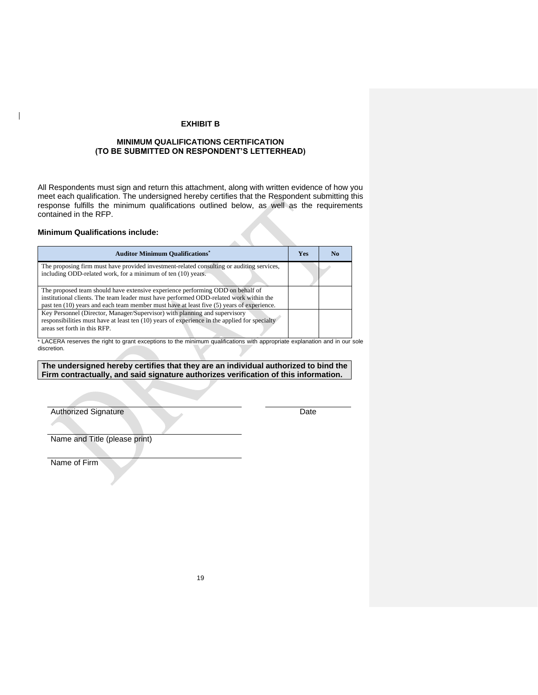#### **EXHIBIT B**

#### **MINIMUM QUALIFICATIONS CERTIFICATION (TO BE SUBMITTED ON RESPONDENT'S LETTERHEAD)**

All Respondents must sign and return this attachment, along with written evidence of how you meet each qualification. The undersigned hereby certifies that the Respondent submitting this response fulfills the minimum qualifications outlined below, as well as the requirements contained in the RFP.

#### **Minimum Qualifications include:**

| <b>Auditor Minimum Qualifications*</b>                                                                                                                                                                                                                                    | Yes | N <sub>0</sub> |
|---------------------------------------------------------------------------------------------------------------------------------------------------------------------------------------------------------------------------------------------------------------------------|-----|----------------|
| The proposing firm must have provided investment-related consulting or auditing services,<br>including ODD-related work, for a minimum of ten (10) years.                                                                                                                 |     |                |
| The proposed team should have extensive experience performing ODD on behalf of<br>institutional clients. The team leader must have performed ODD-related work within the<br>past ten $(10)$ years and each team member must have at least five $(5)$ years of experience. |     |                |
| Key Personnel (Director, Manager/Supervisor) with planning and supervisory<br>responsibilities must have at least ten $(10)$ years of experience in the applied for specialty<br>areas set forth in this RFP.                                                             |     |                |

\* LACERA reserves the right to grant exceptions to the minimum qualifications with appropriate explanation and in our sole discretion.

#### **The undersigned hereby certifies that they are an individual authorized to bind the Firm contractually, and said signature authorizes verification of this information.**

Authorized Signature Date

Name and Title (please print)

Name of Firm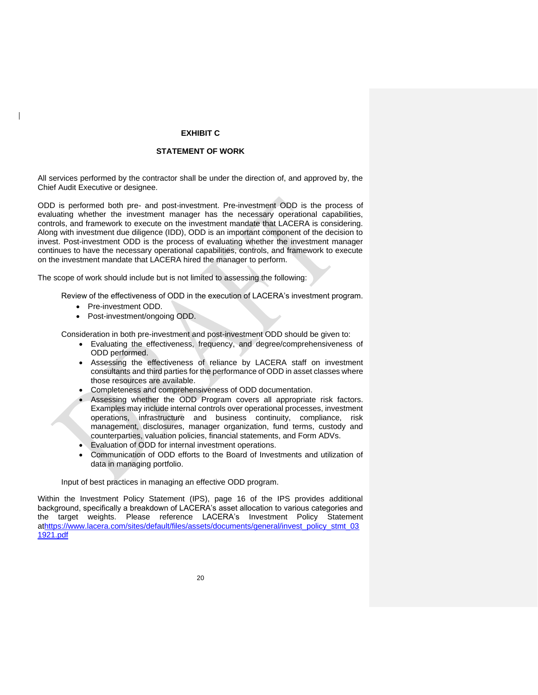#### **EXHIBIT C**

#### **STATEMENT OF WORK**

All services performed by the contractor shall be under the direction of, and approved by, the Chief Audit Executive or designee.

ODD is performed both pre- and post-investment. Pre-investment ODD is the process of evaluating whether the investment manager has the necessary operational capabilities, controls, and framework to execute on the investment mandate that LACERA is considering. Along with investment due diligence (IDD), ODD is an important component of the decision to invest. Post-investment ODD is the process of evaluating whether the investment manager continues to have the necessary operational capabilities, controls, and framework to execute on the investment mandate that LACERA hired the manager to perform.

The scope of work should include but is not limited to assessing the following:

Review of the effectiveness of ODD in the execution of LACERA's investment program.

- Pre-investment ODD.
- Post-investment/ongoing ODD.

Consideration in both pre-investment and post-investment ODD should be given to:

- Evaluating the effectiveness, frequency, and degree/comprehensiveness of ODD performed.
- Assessing the effectiveness of reliance by LACERA staff on investment consultants and third parties for the performance of ODD in asset classes where those resources are available.
- Completeness and comprehensiveness of ODD documentation.
- Assessing whether the ODD Program covers all appropriate risk factors. Examples may include internal controls over operational processes, investment operations, infrastructure and business continuity, compliance, risk management, disclosures, manager organization, fund terms, custody and counterparties, valuation policies, financial statements, and Form ADVs.
- Evaluation of ODD for internal investment operations.
- Communication of ODD efforts to the Board of Investments and utilization of data in managing portfolio.

Input of best practices in managing an effective ODD program.

Within the Investment Policy Statement (IPS), page 16 of the IPS provides additional background, specifically a breakdown of LACERA's asset allocation to various categories and the target weights. Please reference LACERA's Investment Policy Statement a[thttps://www.lacera.com/sites/default/files/assets/documents/general/invest\\_policy\\_stmt\\_03](https://www.lacera.com/sites/default/files/assets/documents/general/invest_policy_stmt_031921.pdf) [1921.pdf](https://www.lacera.com/sites/default/files/assets/documents/general/invest_policy_stmt_031921.pdf)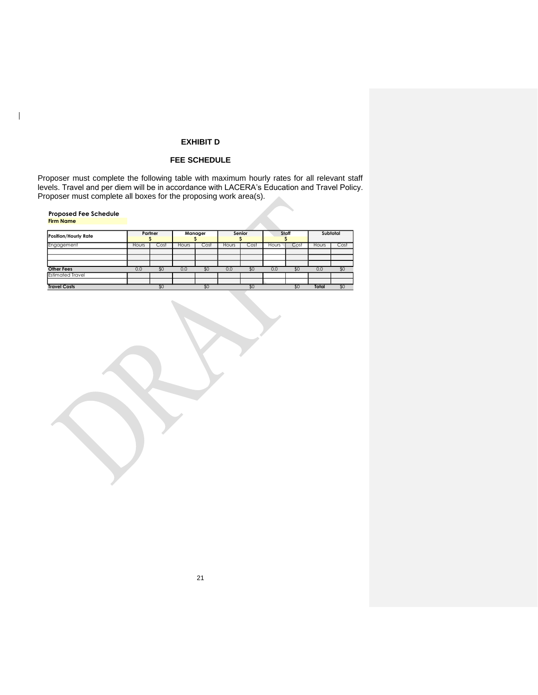#### **EXHIBIT D**

#### **FEE SCHEDULE**

Proposer must complete the following table with maximum hourly rates for all relevant staff levels. Travel and per diem will be in accordance with LACERA's Education and Travel Policy. Proposer must complete all boxes for the proposing work area(s).

#### **Proposed Fee Schedule Firm Name**

 $\overline{\phantom{a}}$ 

| <b>Position/Hourly Rate</b> |       | Partner |       | Manager |       | Senior |       | Staff |       | Subtotal     |
|-----------------------------|-------|---------|-------|---------|-------|--------|-------|-------|-------|--------------|
| Engagement                  | Hours | Cost    | Hours | Cost    | Hours | Cost   | Hours | Cost  | Hours | Cost         |
|                             |       |         |       |         |       |        |       |       |       |              |
|                             |       |         |       |         |       |        |       |       |       |              |
|                             |       |         |       |         |       |        |       |       |       |              |
| <b>Other Fees</b>           | 0.0   | \$0     | 0.0   | \$0     | 0.0   | \$0    | 0.0   | \$0   | 0.0   | $30^{\circ}$ |
| <b>Estimated Travel</b>     |       |         |       |         |       |        |       |       |       |              |
|                             |       |         |       |         |       |        |       |       |       |              |
| <b>Travel Costs</b>         |       | \$0     |       | \$0     |       | \$0    |       | \$0   | Total | \$0          |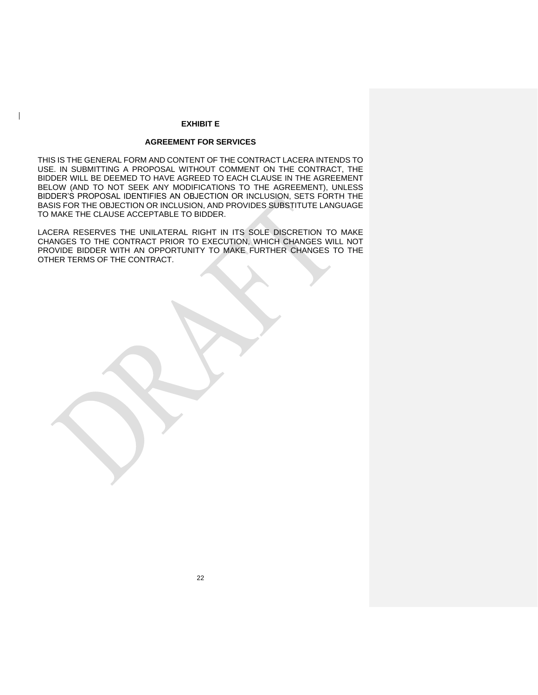#### **EXHIBIT E**

#### **AGREEMENT FOR SERVICES**

THIS IS THE GENERAL FORM AND CONTENT OF THE CONTRACT LACERA INTENDS TO USE. IN SUBMITTING A PROPOSAL WITHOUT COMMENT ON THE CONTRACT, THE BIDDER WILL BE DEEMED TO HAVE AGREED TO EACH CLAUSE IN THE AGREEMENT BELOW (AND TO NOT SEEK ANY MODIFICATIONS TO THE AGREEMENT), UNLESS BIDDER'S PROPOSAL IDENTIFIES AN OBJECTION OR INCLUSION, SETS FORTH THE BASIS FOR THE OBJECTION OR INCLUSION, AND PROVIDES SUBSTITUTE LANGUAGE TO MAKE THE CLAUSE ACCEPTABLE TO BIDDER.

LACERA RESERVES THE UNILATERAL RIGHT IN ITS SOLE DISCRETION TO MAKE CHANGES TO THE CONTRACT PRIOR TO EXECUTION, WHICH CHANGES WILL NOT PROVIDE BIDDER WITH AN OPPORTUNITY TO MAKE FURTHER CHANGES TO THE OTHER TERMS OF THE CONTRACT.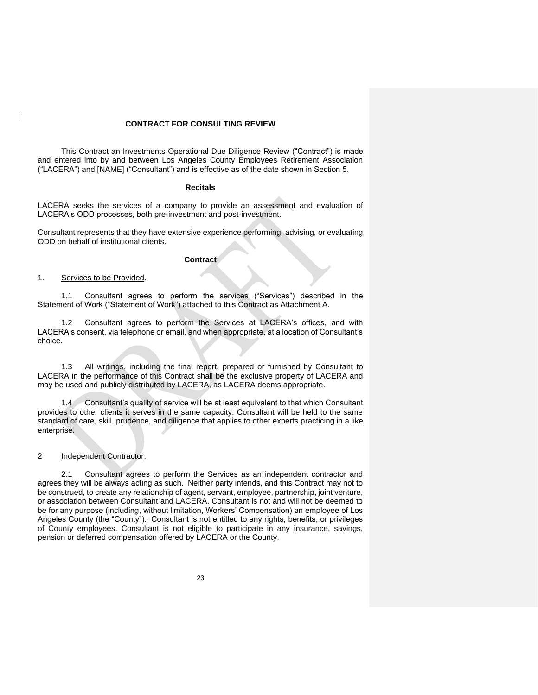#### **CONTRACT FOR CONSULTING REVIEW**

This Contract an Investments Operational Due Diligence Review ("Contract") is made and entered into by and between Los Angeles County Employees Retirement Association ("LACERA") and [NAME] ("Consultant") and is effective as of the date shown in Section 5.

#### **Recitals**

LACERA seeks the services of a company to provide an assessment and evaluation of LACERA's ODD processes, both pre-investment and post-investment.

Consultant represents that they have extensive experience performing, advising, or evaluating ODD on behalf of institutional clients.

#### **Contract**

#### 1. Services to be Provided.

1.1 Consultant agrees to perform the services ("Services") described in the Statement of Work ("Statement of Work") attached to this Contract as Attachment A.

1.2 Consultant agrees to perform the Services at LACERA's offices, and with LACERA's consent, via telephone or email, and when appropriate, at a location of Consultant's choice.

1.3 All writings, including the final report, prepared or furnished by Consultant to LACERA in the performance of this Contract shall be the exclusive property of LACERA and may be used and publicly distributed by LACERA, as LACERA deems appropriate.

1.4 Consultant's quality of service will be at least equivalent to that which Consultant provides to other clients it serves in the same capacity. Consultant will be held to the same standard of care, skill, prudence, and diligence that applies to other experts practicing in a like enterprise.

#### 2 Independent Contractor.

2.1 Consultant agrees to perform the Services as an independent contractor and agrees they will be always acting as such. Neither party intends, and this Contract may not to be construed, to create any relationship of agent, servant, employee, partnership, joint venture, or association between Consultant and LACERA. Consultant is not and will not be deemed to be for any purpose (including, without limitation, Workers' Compensation) an employee of Los Angeles County (the "County"). Consultant is not entitled to any rights, benefits, or privileges of County employees. Consultant is not eligible to participate in any insurance, savings, pension or deferred compensation offered by LACERA or the County.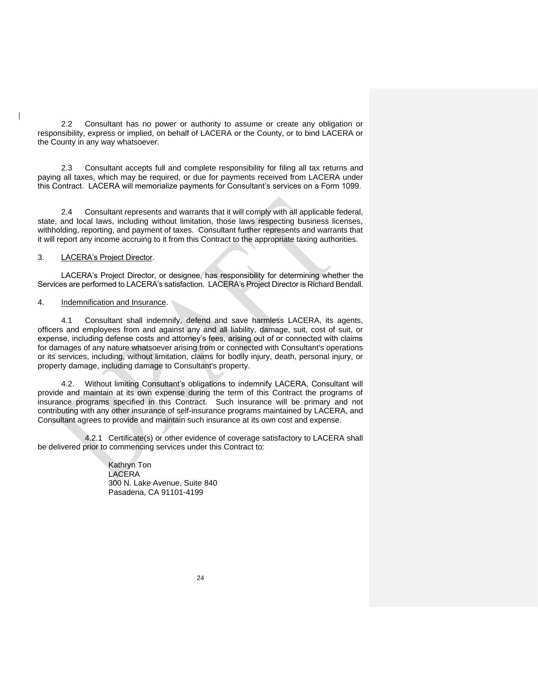2.2 Consultant has no power or authority to assume or create any obligation or responsibility, express or implied, on behalf of LACERA or the County, or to bind LACERA or the County in any way whatsoever.

2.3 Consultant accepts full and complete responsibility for filing all tax returns and paying all taxes, which may be required, or due for payments received from LACERA under this Contract. LACERA will memorialize payments for Consultant's services on a Form 1099.

2.4 Consultant represents and warrants that it will comply with all applicable federal, state, and local laws, including without limitation, those laws respecting business licenses, withholding, reporting, and payment of taxes. Consultant further represents and warrants that it will report any income accruing to it from this Contract to the appropriate taxing authorities.

#### 3. LACERA's Project Director.

LACERA's Project Director, or designee, has responsibility for determining whether the Services are performed to LACERA's satisfaction. LACERA's Project Director is Richard Bendall.

#### 4. Indemnification and Insurance.

4.1 Consultant shall indemnify, defend and save harmless LACERA, its agents, officers and employees from and against any and all liability, damage, suit, cost of suit, or expense, including defense costs and attorney's fees, arising out of or connected with claims for damages of any nature whatsoever arising from or connected with Consultant's operations or its services, including, without limitation, claims for bodily injury, death, personal injury, or property damage, including damage to Consultant's property.

4.2. Without limiting Consultant's obligations to indemnify LACERA, Consultant will provide and maintain at its own expense during the term of this Contract the programs of insurance programs specified in this Contract. Such insurance will be primary and not contributing with any other insurance of self-insurance programs maintained by LACERA, and Consultant agrees to provide and maintain such insurance at its own cost and expense.

4.2.1 Certificate(s) or other evidence of coverage satisfactory to LACERA shall be delivered prior to commencing services under this Contract to:

> Kathryn Ton LACERA 300 N. Lake Avenue, Suite 840 Pasadena, CA 91101-4199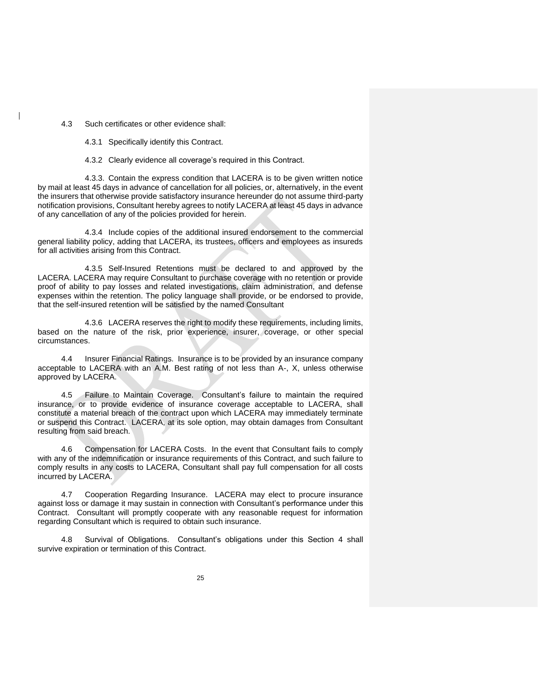4.3 Such certificates or other evidence shall:

4.3.1 Specifically identify this Contract.

4.3.2 Clearly evidence all coverage's required in this Contract.

4.3.3. Contain the express condition that LACERA is to be given written notice by mail at least 45 days in advance of cancellation for all policies, or, alternatively, in the event the insurers that otherwise provide satisfactory insurance hereunder do not assume third-party notification provisions, Consultant hereby agrees to notify LACERA at least 45 days in advance of any cancellation of any of the policies provided for herein.

4.3.4 Include copies of the additional insured endorsement to the commercial general liability policy, adding that LACERA, its trustees, officers and employees as insureds for all activities arising from this Contract.

4.3.5 Self-Insured Retentions must be declared to and approved by the LACERA. LACERA may require Consultant to purchase coverage with no retention or provide proof of ability to pay losses and related investigations, claim administration, and defense expenses within the retention. The policy language shall provide, or be endorsed to provide, that the self-insured retention will be satisfied by the named Consultant

4.3.6 LACERA reserves the right to modify these requirements, including limits, based on the nature of the risk, prior experience, insurer, coverage, or other special circumstances.

4.4 Insurer Financial Ratings. Insurance is to be provided by an insurance company acceptable to LACERA with an A.M. Best rating of not less than A-, X, unless otherwise approved by LACERA.

4.5 Failure to Maintain Coverage. Consultant's failure to maintain the required insurance, or to provide evidence of insurance coverage acceptable to LACERA, shall constitute a material breach of the contract upon which LACERA may immediately terminate or suspend this Contract. LACERA, at its sole option, may obtain damages from Consultant resulting from said breach.

4.6 Compensation for LACERA Costs. In the event that Consultant fails to comply with any of the indemnification or insurance requirements of this Contract, and such failure to comply results in any costs to LACERA, Consultant shall pay full compensation for all costs incurred by LACERA.

4.7 Cooperation Regarding Insurance. LACERA may elect to procure insurance against loss or damage it may sustain in connection with Consultant's performance under this Contract. Consultant will promptly cooperate with any reasonable request for information regarding Consultant which is required to obtain such insurance.

4.8 Survival of Obligations. Consultant's obligations under this Section 4 shall survive expiration or termination of this Contract.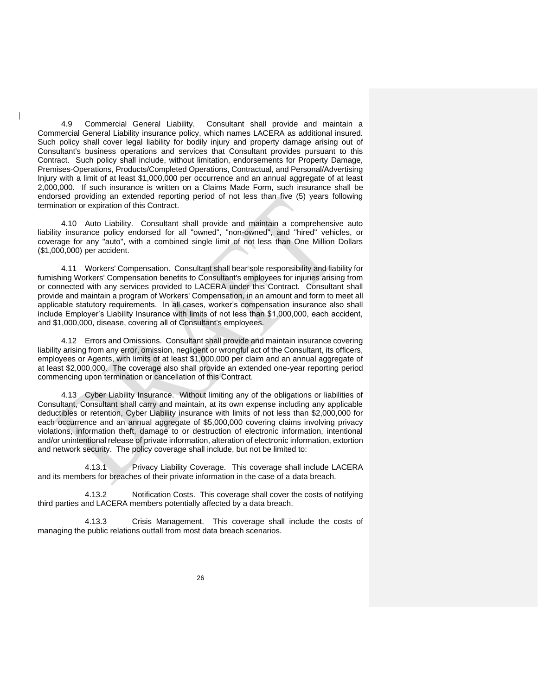4.9 Commercial General Liability. Consultant shall provide and maintain a Commercial General Liability insurance policy, which names LACERA as additional insured. Such policy shall cover legal liability for bodily injury and property damage arising out of Consultant's business operations and services that Consultant provides pursuant to this Contract. Such policy shall include, without limitation, endorsements for Property Damage, Premises-Operations, Products/Completed Operations, Contractual, and Personal/Advertising Injury with a limit of at least \$1,000,000 per occurrence and an annual aggregate of at least 2,000,000. If such insurance is written on a Claims Made Form, such insurance shall be endorsed providing an extended reporting period of not less than five (5) years following termination or expiration of this Contract.

4.10 Auto Liability. Consultant shall provide and maintain a comprehensive auto liability insurance policy endorsed for all "owned", "non-owned", and "hired" vehicles, or coverage for any "auto", with a combined single limit of not less than One Million Dollars (\$1,000,000) per accident.

4.11 Workers' Compensation. Consultant shall bear sole responsibility and liability for furnishing Workers' Compensation benefits to Consultant's employees for injuries arising from or connected with any services provided to LACERA under this Contract. Consultant shall provide and maintain a program of Workers' Compensation, in an amount and form to meet all applicable statutory requirements. In all cases, worker's compensation insurance also shall include Employer's Liability Insurance with limits of not less than \$1,000,000, each accident, and \$1,000,000, disease, covering all of Consultant's employees.

4.12 Errors and Omissions. Consultant shall provide and maintain insurance covering liability arising from any error, omission, negligent or wrongful act of the Consultant, its officers, employees or Agents, with limits of at least \$1,000,000 per claim and an annual aggregate of at least \$2,000,000. The coverage also shall provide an extended one-year reporting period commencing upon termination or cancellation of this Contract.

4.13 Cyber Liability Insurance. Without limiting any of the obligations or liabilities of Consultant, Consultant shall carry and maintain, at its own expense including any applicable deductibles or retention, Cyber Liability insurance with limits of not less than \$2,000,000 for each occurrence and an annual aggregate of \$5,000,000 covering claims involving privacy violations, information theft, damage to or destruction of electronic information, intentional and/or unintentional release of private information, alteration of electronic information, extortion and network security. The policy coverage shall include, but not be limited to:

4.13.1 Privacy Liability Coverage. This coverage shall include LACERA and its members for breaches of their private information in the case of a data breach.

4.13.2 Notification Costs. This coverage shall cover the costs of notifying third parties and LACERA members potentially affected by a data breach.

4.13.3 Crisis Management. This coverage shall include the costs of managing the public relations outfall from most data breach scenarios.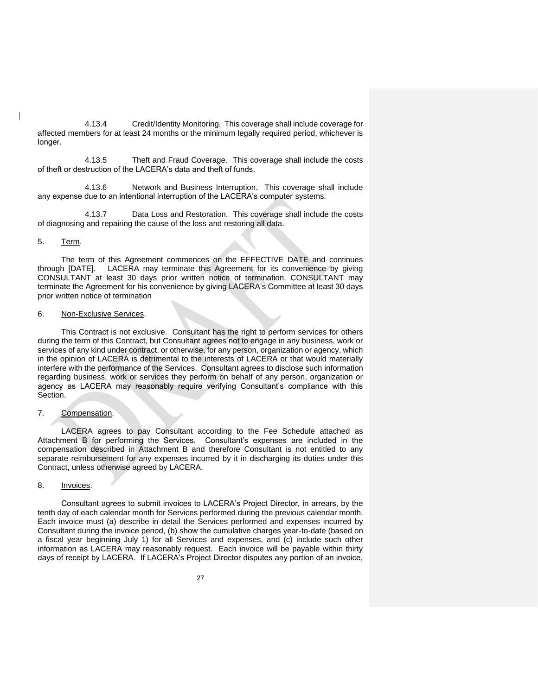4.13.4 Credit/Identity Monitoring. This coverage shall include coverage for affected members for at least 24 months or the minimum legally required period, whichever is longer.

4.13.5 Theft and Fraud Coverage. This coverage shall include the costs of theft or destruction of the LACERA's data and theft of funds.

4.13.6 Network and Business Interruption. This coverage shall include any expense due to an intentional interruption of the LACERA's computer systems.

4.13.7 Data Loss and Restoration. This coverage shall include the costs of diagnosing and repairing the cause of the loss and restoring all data.

#### 5. Term.

The term of this Agreement commences on the EFFECTIVE DATE and continues through [DATE]. LACERA may terminate this Agreement for its convenience by giving CONSULTANT at least 30 days prior written notice of termination. CONSULTANT may terminate the Agreement for his convenience by giving LACERA's Committee at least 30 days prior written notice of termination

#### 6. Non-Exclusive Services.

This Contract is not exclusive. Consultant has the right to perform services for others during the term of this Contract, but Consultant agrees not to engage in any business, work or services of any kind under contract, or otherwise, for any person, organization or agency, which in the opinion of LACERA is detrimental to the interests of LACERA or that would materially interfere with the performance of the Services. Consultant agrees to disclose such information regarding business, work or services they perform on behalf of any person, organization or agency as LACERA may reasonably require verifying Consultant's compliance with this Section.

#### 7. Compensation.

LACERA agrees to pay Consultant according to the Fee Schedule attached as Attachment B for performing the Services. Consultant's expenses are included in the compensation described in Attachment B and therefore Consultant is not entitled to any separate reimbursement for any expenses incurred by it in discharging its duties under this Contract, unless otherwise agreed by LACERA.

#### 8. Invoices.

Consultant agrees to submit invoices to LACERA's Project Director, in arrears, by the tenth day of each calendar month for Services performed during the previous calendar month. Each invoice must (a) describe in detail the Services performed and expenses incurred by Consultant during the invoice period, (b) show the cumulative charges year-to-date (based on a fiscal year beginning July 1) for all Services and expenses, and (c) include such other information as LACERA may reasonably request. Each invoice will be payable within thirty days of receipt by LACERA. If LACERA's Project Director disputes any portion of an invoice,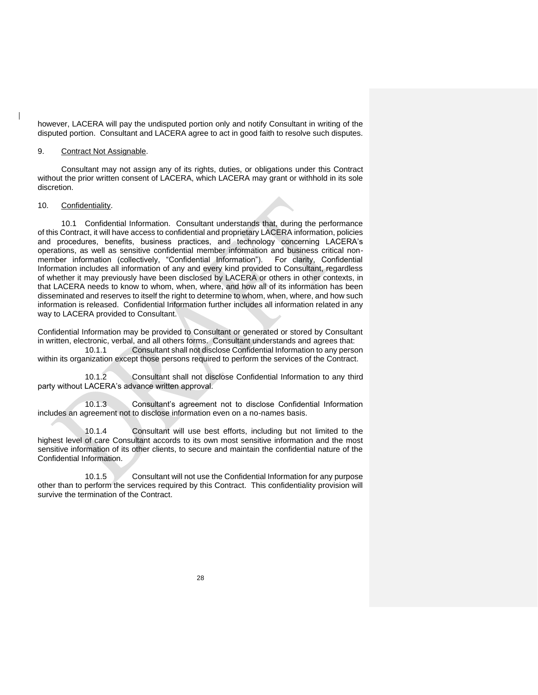however, LACERA will pay the undisputed portion only and notify Consultant in writing of the disputed portion. Consultant and LACERA agree to act in good faith to resolve such disputes.

#### 9. Contract Not Assignable.

Consultant may not assign any of its rights, duties, or obligations under this Contract without the prior written consent of LACERA, which LACERA may grant or withhold in its sole discretion.

#### 10. Confidentiality.

10.1 Confidential Information. Consultant understands that, during the performance of this Contract, it will have access to confidential and proprietary LACERA information, policies and procedures, benefits, business practices, and technology concerning LACERA's operations, as well as sensitive confidential member information and business critical nonmember information (collectively, "Confidential Information"). For clarity, Confidential Information includes all information of any and every kind provided to Consultant, regardless of whether it may previously have been disclosed by LACERA or others in other contexts, in that LACERA needs to know to whom, when, where, and how all of its information has been disseminated and reserves to itself the right to determine to whom, when, where, and how such information is released. Confidential Information further includes all information related in any way to LACERA provided to Consultant.

Confidential Information may be provided to Consultant or generated or stored by Consultant in written, electronic, verbal, and all others forms. Consultant understands and agrees that:

10.1.1 Consultant shall not disclose Confidential Information to any person within its organization except those persons required to perform the services of the Contract.

10.1.2 Consultant shall not disclose Confidential Information to any third party without LACERA's advance written approval.

10.1.3 Consultant's agreement not to disclose Confidential Information includes an agreement not to disclose information even on a no-names basis.

10.1.4 Consultant will use best efforts, including but not limited to the highest level of care Consultant accords to its own most sensitive information and the most sensitive information of its other clients, to secure and maintain the confidential nature of the Confidential Information.

10.1.5 Consultant will not use the Confidential Information for any purpose other than to perform the services required by this Contract. This confidentiality provision will survive the termination of the Contract.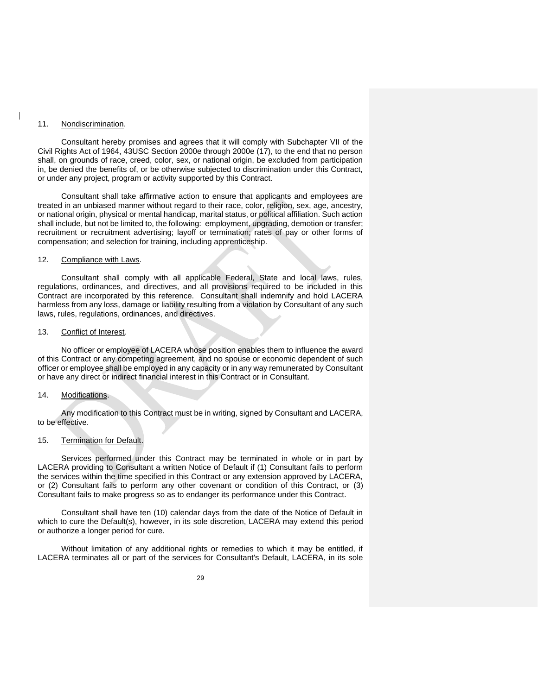#### 11. Nondiscrimination.

Consultant hereby promises and agrees that it will comply with Subchapter VII of the Civil Rights Act of 1964, 43USC Section 2000e through 2000e (17), to the end that no person shall, on grounds of race, creed, color, sex, or national origin, be excluded from participation in, be denied the benefits of, or be otherwise subjected to discrimination under this Contract, or under any project, program or activity supported by this Contract.

Consultant shall take affirmative action to ensure that applicants and employees are treated in an unbiased manner without regard to their race, color, religion, sex, age, ancestry, or national origin, physical or mental handicap, marital status, or political affiliation. Such action shall include, but not be limited to, the following: employment, upgrading, demotion or transfer; recruitment or recruitment advertising; layoff or termination; rates of pay or other forms of compensation; and selection for training, including apprenticeship.

#### 12. Compliance with Laws.

Consultant shall comply with all applicable Federal, State and local laws, rules, regulations, ordinances, and directives, and all provisions required to be included in this Contract are incorporated by this reference. Consultant shall indemnify and hold LACERA harmless from any loss, damage or liability resulting from a violation by Consultant of any such laws, rules, regulations, ordinances, and directives.

#### 13. Conflict of Interest.

No officer or employee of LACERA whose position enables them to influence the award of this Contract or any competing agreement, and no spouse or economic dependent of such officer or employee shall be employed in any capacity or in any way remunerated by Consultant or have any direct or indirect financial interest in this Contract or in Consultant.

#### 14. Modifications.

Any modification to this Contract must be in writing, signed by Consultant and LACERA, to be effective.

#### 15. Termination for Default.

Services performed under this Contract may be terminated in whole or in part by LACERA providing to Consultant a written Notice of Default if (1) Consultant fails to perform the services within the time specified in this Contract or any extension approved by LACERA, or (2) Consultant fails to perform any other covenant or condition of this Contract, or (3) Consultant fails to make progress so as to endanger its performance under this Contract.

Consultant shall have ten (10) calendar days from the date of the Notice of Default in which to cure the Default(s), however, in its sole discretion, LACERA may extend this period or authorize a longer period for cure.

Without limitation of any additional rights or remedies to which it may be entitled, if LACERA terminates all or part of the services for Consultant's Default, LACERA, in its sole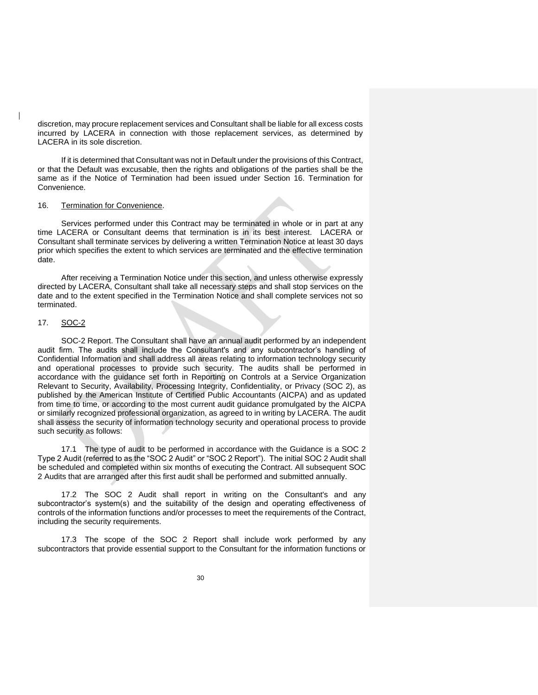discretion, may procure replacement services and Consultant shall be liable for all excess costs incurred by LACERA in connection with those replacement services, as determined by LACERA in its sole discretion.

If it is determined that Consultant was not in Default under the provisions of this Contract, or that the Default was excusable, then the rights and obligations of the parties shall be the same as if the Notice of Termination had been issued under Section 16. Termination for Convenience.

#### 16. Termination for Convenience.

Services performed under this Contract may be terminated in whole or in part at any time LACERA or Consultant deems that termination is in its best interest. LACERA or Consultant shall terminate services by delivering a written Termination Notice at least 30 days prior which specifies the extent to which services are terminated and the effective termination date.

After receiving a Termination Notice under this section, and unless otherwise expressly directed by LACERA, Consultant shall take all necessary steps and shall stop services on the date and to the extent specified in the Termination Notice and shall complete services not so terminated.

#### 17. SOC-2

SOC-2 Report. The Consultant shall have an annual audit performed by an independent audit firm. The audits shall include the Consultant's and any subcontractor's handling of Confidential Information and shall address all areas relating to information technology security and operational processes to provide such security. The audits shall be performed in accordance with the guidance set forth in Reporting on Controls at a Service Organization Relevant to Security, Availability, Processing Integrity, Confidentiality, or Privacy (SOC 2), as published by the American Institute of Certified Public Accountants (AICPA) and as updated from time to time, or according to the most current audit guidance promulgated by the AICPA or similarly recognized professional organization, as agreed to in writing by LACERA. The audit shall assess the security of information technology security and operational process to provide such security as follows:

17.1 The type of audit to be performed in accordance with the Guidance is a SOC 2 Type 2 Audit (referred to as the "SOC 2 Audit" or "SOC 2 Report"). The initial SOC 2 Audit shall be scheduled and completed within six months of executing the Contract. All subsequent SOC 2 Audits that are arranged after this first audit shall be performed and submitted annually.

17.2 The SOC 2 Audit shall report in writing on the Consultant's and any subcontractor's system(s) and the suitability of the design and operating effectiveness of controls of the information functions and/or processes to meet the requirements of the Contract, including the security requirements.

17.3 The scope of the SOC 2 Report shall include work performed by any subcontractors that provide essential support to the Consultant for the information functions or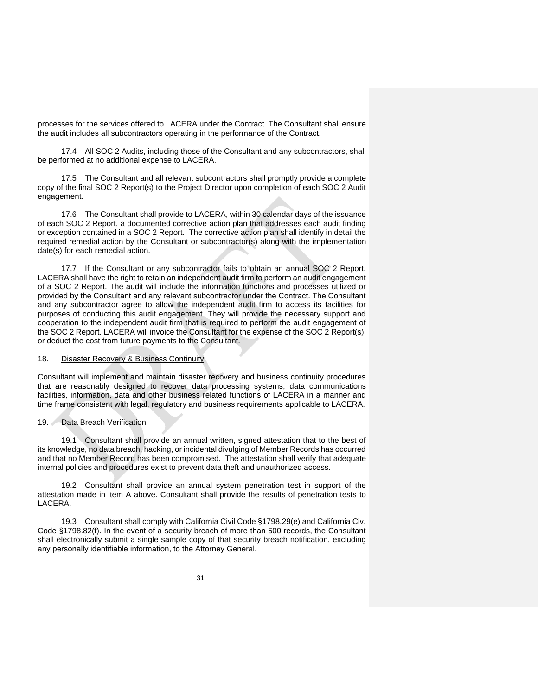processes for the services offered to LACERA under the Contract. The Consultant shall ensure the audit includes all subcontractors operating in the performance of the Contract.

17.4 All SOC 2 Audits, including those of the Consultant and any subcontractors, shall be performed at no additional expense to LACERA.

17.5 The Consultant and all relevant subcontractors shall promptly provide a complete copy of the final SOC 2 Report(s) to the Project Director upon completion of each SOC 2 Audit engagement.

17.6 The Consultant shall provide to LACERA, within 30 calendar days of the issuance of each SOC 2 Report, a documented corrective action plan that addresses each audit finding or exception contained in a SOC 2 Report. The corrective action plan shall identify in detail the required remedial action by the Consultant or subcontractor(s) along with the implementation date(s) for each remedial action.

17.7 If the Consultant or any subcontractor fails to obtain an annual SOC 2 Report, LACERA shall have the right to retain an independent audit firm to perform an audit engagement of a SOC 2 Report. The audit will include the information functions and processes utilized or provided by the Consultant and any relevant subcontractor under the Contract. The Consultant and any subcontractor agree to allow the independent audit firm to access its facilities for purposes of conducting this audit engagement. They will provide the necessary support and cooperation to the independent audit firm that is required to perform the audit engagement of the SOC 2 Report. LACERA will invoice the Consultant for the expense of the SOC 2 Report(s), or deduct the cost from future payments to the Consultant.

#### 18. Disaster Recovery & Business Continuity

Consultant will implement and maintain disaster recovery and business continuity procedures that are reasonably designed to recover data processing systems, data communications facilities, information, data and other business related functions of LACERA in a manner and time frame consistent with legal, regulatory and business requirements applicable to LACERA.

#### 19. Data Breach Verification

19.1 Consultant shall provide an annual written, signed attestation that to the best of its knowledge, no data breach, hacking, or incidental divulging of Member Records has occurred and that no Member Record has been compromised. The attestation shall verify that adequate internal policies and procedures exist to prevent data theft and unauthorized access.

19.2 Consultant shall provide an annual system penetration test in support of the attestation made in item A above. Consultant shall provide the results of penetration tests to LACERA.

19.3 Consultant shall comply with California Civil Code §1798.29(e) and California Civ. Code §1798.82(f). In the event of a security breach of more than 500 records, the Consultant shall electronically submit a single sample copy of that security breach notification, excluding any personally identifiable information, to the Attorney General.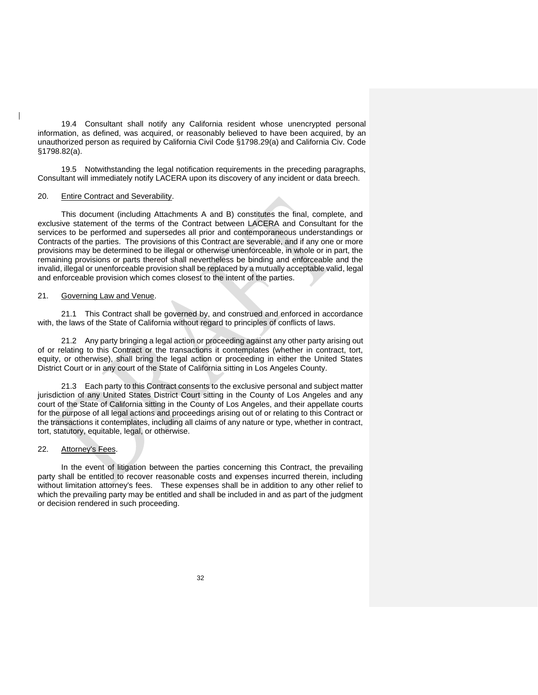19.4 Consultant shall notify any California resident whose unencrypted personal information, as defined, was acquired, or reasonably believed to have been acquired, by an unauthorized person as required by California Civil Code §1798.29(a) and California Civ. Code §1798.82(a).

19.5 Notwithstanding the legal notification requirements in the preceding paragraphs, Consultant will immediately notify LACERA upon its discovery of any incident or data breech.

#### 20. Entire Contract and Severability.

This document (including Attachments A and B) constitutes the final, complete, and exclusive statement of the terms of the Contract between LACERA and Consultant for the services to be performed and supersedes all prior and contemporaneous understandings or Contracts of the parties. The provisions of this Contract are severable, and if any one or more provisions may be determined to be illegal or otherwise unenforceable, in whole or in part, the remaining provisions or parts thereof shall nevertheless be binding and enforceable and the invalid, illegal or unenforceable provision shall be replaced by a mutually acceptable valid, legal and enforceable provision which comes closest to the intent of the parties.

#### 21. Governing Law and Venue.

21.1 This Contract shall be governed by, and construed and enforced in accordance with, the laws of the State of California without regard to principles of conflicts of laws.

21.2 Any party bringing a legal action or proceeding against any other party arising out of or relating to this Contract or the transactions it contemplates (whether in contract, tort, equity, or otherwise), shall bring the legal action or proceeding in either the United States District Court or in any court of the State of California sitting in Los Angeles County.

21.3 Each party to this Contract consents to the exclusive personal and subject matter jurisdiction of any United States District Court sitting in the County of Los Angeles and any court of the State of California sitting in the County of Los Angeles, and their appellate courts for the purpose of all legal actions and proceedings arising out of or relating to this Contract or the transactions it contemplates, including all claims of any nature or type, whether in contract, tort, statutory, equitable, legal, or otherwise.

#### 22. Attorney's Fees.

In the event of litigation between the parties concerning this Contract, the prevailing party shall be entitled to recover reasonable costs and expenses incurred therein, including without limitation attorney's fees. These expenses shall be in addition to any other relief to which the prevailing party may be entitled and shall be included in and as part of the judgment or decision rendered in such proceeding.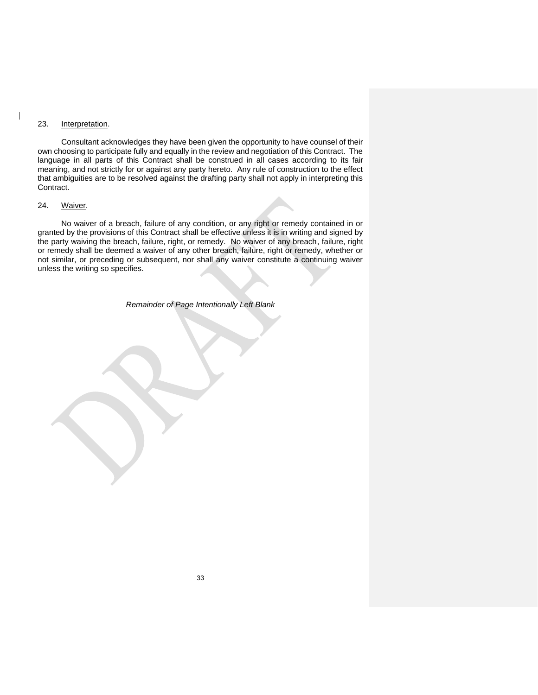#### 23. Interpretation.

Consultant acknowledges they have been given the opportunity to have counsel of their own choosing to participate fully and equally in the review and negotiation of this Contract. The language in all parts of this Contract shall be construed in all cases according to its fair meaning, and not strictly for or against any party hereto. Any rule of construction to the effect that ambiguities are to be resolved against the drafting party shall not apply in interpreting this Contract.

#### 24. Waiver.

No waiver of a breach, failure of any condition, or any right or remedy contained in or granted by the provisions of this Contract shall be effective unless it is in writing and signed by the party waiving the breach, failure, right, or remedy. No waiver of any breach, failure, right or remedy shall be deemed a waiver of any other breach, failure, right or remedy, whether or not similar, or preceding or subsequent, nor shall any waiver constitute a continuing waiver unless the writing so specifies.

*Remainder of Page Intentionally Left Blank*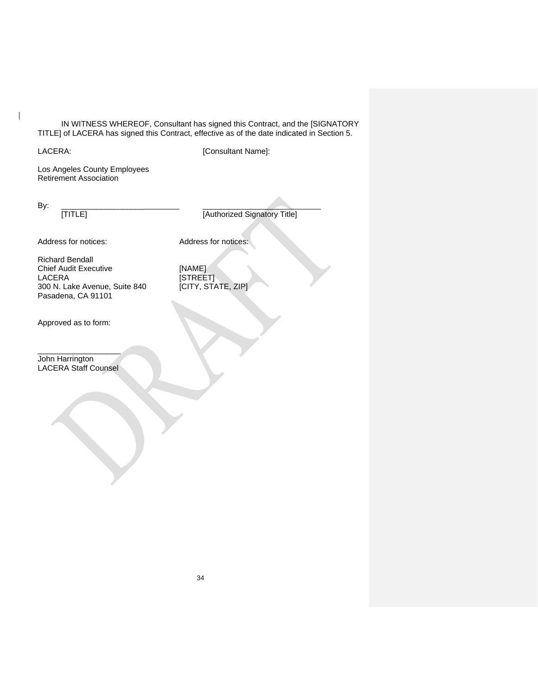IN WITNESS WHEREOF, Consultant has signed this Contract, and the [SIGNATORY TITLE] of LACERA has signed this Contract, effective as of the date indicated in Section 5.

 $\overline{\phantom{a}}$ 

LACERA: [Consultant Name]:

Los Angeles County Employees Retirement Association

By: \_\_\_\_\_\_\_\_\_\_\_\_\_\_\_\_\_\_\_ \_\_\_\_\_\_\_\_\_\_\_\_\_\_\_\_\_\_\_

[TITLE] [Authorized Signatory Title]

Address for notices: Address for notices:

Richard Bendall Chief Audit Executive [NAME]<br>LACERA [STREE 300 N. Lake Avenue, Suite 840 Pasadena, CA 91101

Approved as to form:

\_\_\_\_\_\_\_\_\_\_\_\_\_\_\_\_\_\_\_ John Harrington LACERA Staff Counsel

[KAME]<br>[STREET]<br>[CITY, STATE, ZIP]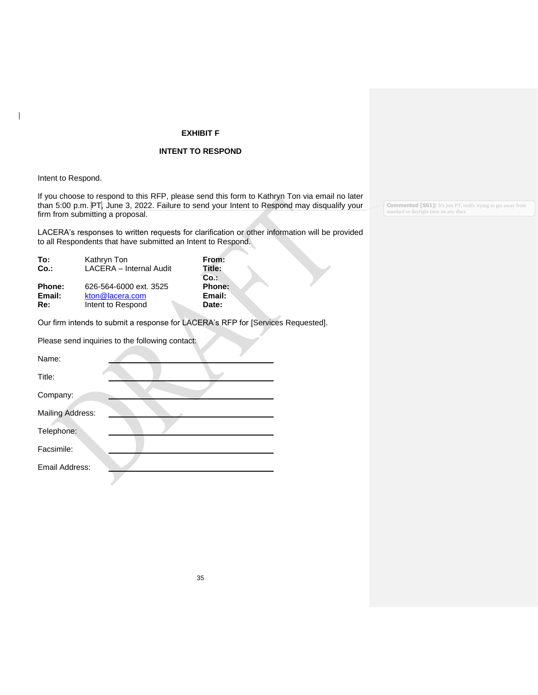#### **EXHIBIT F**

#### **INTENT TO RESPOND**

Intent to Respond.

 $\overline{\phantom{a}}$ 

If you choose to respond to this RFP, please send this form to Kathryn Ton via email no later than 5:00 p.m. PT, June 3, 2022. Failure to send your Intent to Respond may disqualify your firm from submitting a proposal.

LACERA's responses to written requests for clarification or other information will be provided to all Respondents that have submitted an Intent to Respond.

| To:                     | Kathryn Ton                                                    | From:                                   |
|-------------------------|----------------------------------------------------------------|-----------------------------------------|
| Co.                     | LACERA - Internal Audit                                        | Title:                                  |
| Phone:<br>Email:<br>Re: | 626-564-6000 ext. 3525<br>kton@lacera.com<br>Intent to Respond | Co.<br><b>Phone:</b><br>Email:<br>Date: |

Our firm intends to submit a response for LACERA's RFP for [Services Requested].

Please send inquiries to the following contact:

| Name:                   |  |
|-------------------------|--|
| Title:                  |  |
| Company:                |  |
| <b>Mailing Address:</b> |  |
| Telephone:              |  |
| Facsimile:              |  |
| Email Address:          |  |

**Commented [SS1]:** It's just PT, really trying to get away from standard or daylight time on any docs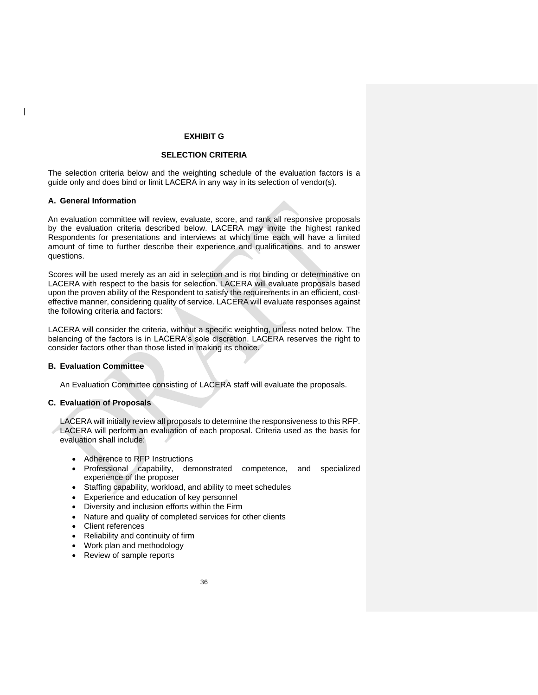#### **EXHIBIT G**

#### **SELECTION CRITERIA**

The selection criteria below and the weighting schedule of the evaluation factors is a guide only and does bind or limit LACERA in any way in its selection of vendor(s).

#### **A. General Information**

An evaluation committee will review, evaluate, score, and rank all responsive proposals by the evaluation criteria described below. LACERA may invite the highest ranked Respondents for presentations and interviews at which time each will have a limited amount of time to further describe their experience and qualifications, and to answer questions.

Scores will be used merely as an aid in selection and is not binding or determinative on LACERA with respect to the basis for selection. LACERA will evaluate proposals based upon the proven ability of the Respondent to satisfy the requirements in an efficient, costeffective manner, considering quality of service. LACERA will evaluate responses against the following criteria and factors:

LACERA will consider the criteria, without a specific weighting, unless noted below. The balancing of the factors is in LACERA's sole discretion. LACERA reserves the right to consider factors other than those listed in making its choice.

#### **B. Evaluation Committee**

An Evaluation Committee consisting of LACERA staff will evaluate the proposals.

#### **C. Evaluation of Proposals**

LACERA will initially review all proposals to determine the responsiveness to this RFP. LACERA will perform an evaluation of each proposal. Criteria used as the basis for evaluation shall include:

- Adherence to RFP Instructions
- Professional capability, demonstrated competence, and specialized experience of the proposer
- Staffing capability, workload, and ability to meet schedules
- Experience and education of key personnel
- Diversity and inclusion efforts within the Firm
- Nature and quality of completed services for other clients
- Client references
- Reliability and continuity of firm
- Work plan and methodology
- Review of sample reports